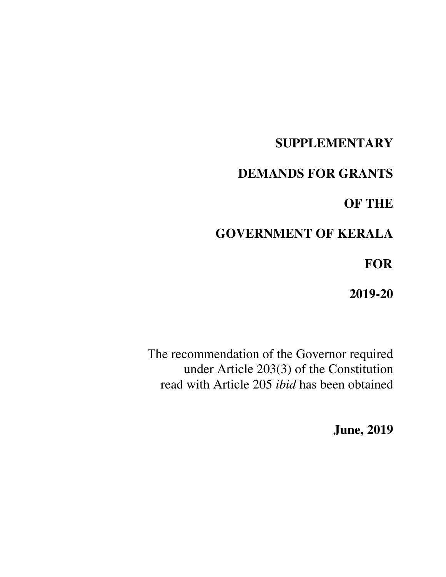# **SUPPLEMENTARY**

# **DEMANDS FOR GRANTS**

# **OF THE**

# **GOVERNMENT OF KERALA**

 **FOR** 

**2019-20** 

The recommendation of the Governor required under Article 203(3) of the Constitution read with Article 205 *ibid* has been obtained

**June, 2019**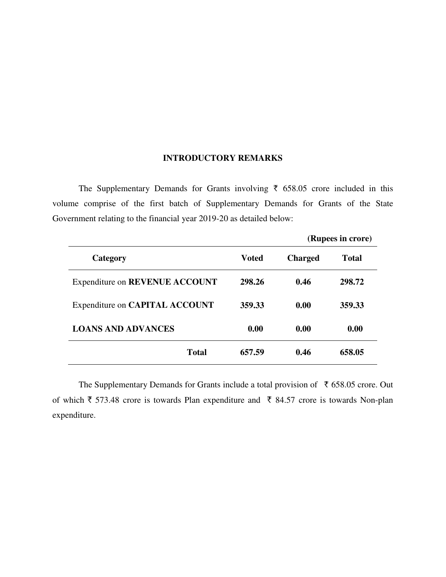# **INTRODUCTORY REMARKS**

The Supplementary Demands for Grants involving  $\bar{\tau}$  658.05 crore included in this volume comprise of the first batch of Supplementary Demands for Grants of the State Government relating to the financial year 2019-20 as detailed below:

|                                |              | (Rupees in crore) |        |  |
|--------------------------------|--------------|-------------------|--------|--|
| Category                       | <b>Voted</b> | <b>Charged</b>    | Total  |  |
| Expenditure on REVENUE ACCOUNT | 298.26       | 0.46              | 298.72 |  |
| Expenditure on CAPITAL ACCOUNT | 359.33       | 0.00              | 359.33 |  |
| <b>LOANS AND ADVANCES</b>      | 0.00         | 0.00              | 0.00   |  |
| <b>Total</b>                   | 657.59       | 0.46              | 658.05 |  |

The Supplementary Demands for Grants include a total provision of  $\bar{\tau}$  658.05 crore. Out of which  $\bar{\tau}$  573.48 crore is towards Plan expenditure and  $\bar{\tau}$  84.57 crore is towards Non-plan expenditure.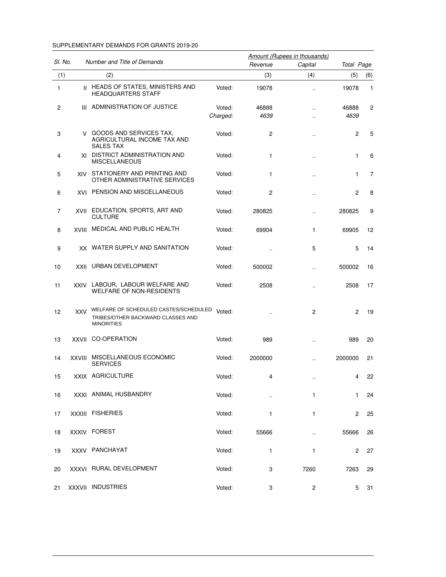#### SUPPLEMENTARY DEMANDS FOR GRANTS 2019-20

|         |              |                                                                                                 |                    |               | Amount (Rupees in thousands) |               |     |
|---------|--------------|-------------------------------------------------------------------------------------------------|--------------------|---------------|------------------------------|---------------|-----|
| SI. No. |              | Number and Title of Demands                                                                     |                    | Revenue       | Capital                      | Total Page    |     |
| (1)     |              | (2)                                                                                             |                    | (3)           | (4)                          | (5)           | (6) |
| 1       |              | II HEADS OF STATES, MINISTERS AND<br><b>HEADQUARTERS STAFF</b>                                  | Voted:             | 19078         | $\cdot$                      | 19078         | 1   |
| 2       | Ш            | ADMINISTRATION OF JUSTICE                                                                       | Voted:<br>Charged: | 46888<br>4639 |                              | 46888<br>4639 | 2   |
| 3       |              | V GOODS AND SERVICES TAX.<br>AGRICULTURAL INCOME TAX AND<br><b>SALES TAX</b>                    | Voted:             | 2             |                              | 2             | 5   |
| 4       |              | XI DISTRICT ADMINISTRATION AND<br><b>MISCELLANEOUS</b>                                          | Voted:             | 1             |                              | 1             | 6   |
| 5       |              | XIV STATIONERY AND PRINTING AND<br>OTHER ADMINISTRATIVE SERVICES                                | Voted:             | 1             | $\cdot$ .                    | 1             | 7   |
| 6       |              | <b>XVI PENSION AND MISCELLANEOUS</b>                                                            | Voted:             | 2             |                              | 2             | 8   |
| 7       | XVII         | EDUCATION, SPORTS, ART AND<br><b>CULTURE</b>                                                    | Voted:             | 280825        | $\cdot$                      | 280825        | 9   |
| 8       | XVIII        | MEDICAL AND PUBLIC HEALTH                                                                       | Voted:             | 69904         | 1                            | 69905         | 12  |
| 9       |              | XX WATER SUPPLY AND SANITATION                                                                  | Voted:             | $\cdot$       | 5                            | 5             | 14  |
| 10      | XXII         | URBAN DEVELOPMENT                                                                               | Voted:             | 500002        | $\cdot$                      | 500002        | 16  |
| 11      | <b>XXIV</b>  | LABOUR, LABOUR WELFARE AND<br><b>WELFARE OF NON-RESIDENTS</b>                                   | Voted:             | 2508          |                              | 2508          | 17  |
| 12      | <b>XXV</b>   | WELFARE OF SCHEDULED CASTES/SCHEDULED<br>TRIBES/OTHER BACKWARD CLASSES AND<br><b>MINORITIES</b> | Voted:             |               | 2                            | 2             | 19  |
| 13      | <b>XXVII</b> | <b>CO-OPERATION</b>                                                                             | Voted:             | 989           |                              | 989           | 20  |
| 14      | XXVIII       | MISCELLANEOUS ECONOMIC<br><b>SERVICES</b>                                                       | Voted:             | 2000000       |                              | 2000000       | 21  |
| 15      |              | XXIX AGRICULTURE                                                                                | Voted:             | 4             |                              | 4             | 22  |
| 16      |              | XXXI ANIMAL HUSBANDRY                                                                           | Voted:             |               | 1                            | $\mathbf{1}$  | 24  |
| 17      |              | XXXIII FISHERIES                                                                                | Voted:             | $\mathbf{1}$  | $\mathbf{1}$                 | $^{2}$        | 25  |
| 18      |              | XXXIV FOREST                                                                                    | Voted:             | 55666         | $\ddotsc$                    | 55666         | 26  |
| 19      |              | XXXV PANCHAYAT                                                                                  | Voted:             | $\mathbf{1}$  | 1                            | 2             | 27  |
| 20      |              | XXXVI RURAL DEVELOPMENT                                                                         | Voted:             | 3             | 7260                         | 7263          | 29  |
| 21      |              | XXXVII INDUSTRIES                                                                               | Voted:             | 3             | 2                            | 5             | 31  |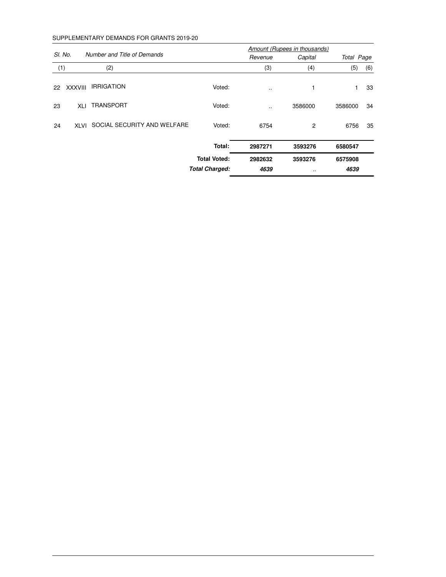#### SUPPLEMENTARY DEMANDS FOR GRANTS 2019-20

|         |                |                             |                       |           | Amount (Rupees in thousands) |            |     |
|---------|----------------|-----------------------------|-----------------------|-----------|------------------------------|------------|-----|
| SI. No. |                | Number and Title of Demands |                       | Revenue   | Capital                      | Total Page |     |
| (1)     |                | (2)                         |                       | (3)       | (4)                          | (5)        | (6) |
| 22      | <b>XXXVIII</b> | <b>IRRIGATION</b>           | Voted:                | $\cdot$ . | 1                            | 1          | 33  |
| 23      | XLI            | <b>TRANSPORT</b>            | Voted:                |           | 3586000                      | 3586000    | 34  |
| 24      | <b>XLVI</b>    | SOCIAL SECURITY AND WELFARE | Voted:                | 6754      | $\overline{2}$               | 6756       | 35  |
|         |                |                             | Total:                | 2987271   | 3593276                      | 6580547    |     |
|         |                |                             | <b>Total Voted:</b>   | 2982632   | 3593276                      | 6575908    |     |
|         |                |                             | <b>Total Charged:</b> | 4639      |                              | 4639       |     |
|         |                |                             |                       |           |                              |            |     |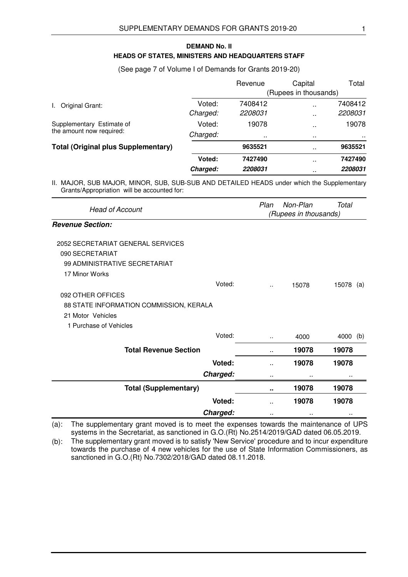# **HEADS OF STATES, MINISTERS AND HEADQUARTERS STAFF DEMAND No. II**

(See page 7 of Volume I of Demands for Grants 2019-20)

|                                                       |          | Revenue  | Capital               | Total    |
|-------------------------------------------------------|----------|----------|-----------------------|----------|
|                                                       |          |          | (Rupees in thousands) |          |
| Original Grant:                                       | Voted:   | 7408412  | $\ddot{\phantom{a}}$  | 7408412  |
|                                                       | Charged: | 2208031  |                       | 2208031  |
| Supplementary Estimate of<br>the amount now required: | Voted:   | 19078    | $\ddot{\phantom{1}}$  | 19078    |
|                                                       | Charged: | $\cdots$ | $\sim$                | $\cdots$ |
| <b>Total (Original plus Supplementary)</b>            |          | 9635521  | $\sim$                | 9635521  |
|                                                       | Voted:   | 7427490  | $\ddot{\phantom{a}}$  | 7427490  |
|                                                       | Charged: | 2208031  |                       | 2208031  |

II. MAJOR, SUB MAJOR, MINOR, SUB, SUB-SUB AND DETAILED HEADS under which the Supplementary Grants/Appropriation will be accounted for:

| <b>Head of Account</b>                  | Plan                 | Non-Plan<br>(Rupees in thousands) | Total        |
|-----------------------------------------|----------------------|-----------------------------------|--------------|
| <b>Revenue Section:</b>                 |                      |                                   |              |
| 2052 SECRETARIAT GENERAL SERVICES       |                      |                                   |              |
| 090 SECRETARIAT                         |                      |                                   |              |
| 99 ADMINISTRATIVE SECRETARIAT           |                      |                                   |              |
| 17 Minor Works                          |                      |                                   |              |
| Voted:                                  | $\ddot{\phantom{a}}$ | 15078                             | 15078<br>(a) |
| 092 OTHER OFFICES                       |                      |                                   |              |
| 88 STATE INFORMATION COMMISSION, KERALA |                      |                                   |              |
| 21 Motor Vehicles                       |                      |                                   |              |
| 1 Purchase of Vehicles                  |                      |                                   |              |
| Voted:                                  |                      | 4000                              | 4000<br>(b)  |
| <b>Total Revenue Section</b>            | $\ddot{\phantom{0}}$ | 19078                             | 19078        |
| Voted:                                  | ٠.                   | 19078                             | 19078        |
| Charged:                                |                      |                                   |              |
| <b>Total (Supplementary)</b>            | ۰.                   | 19078                             | 19078        |
| Voted:                                  | $\ddot{\phantom{0}}$ | 19078                             | 19078        |
| Charged:                                |                      |                                   |              |

(a): The supplementary grant moved is to meet the expenses towards the maintenance of UPS systems in the Secretariat, as sanctioned in G.O.(Rt) No.2514/2019/GAD dated 06.05.2019.

(b): The supplementary grant moved is to satisfy 'New Service' procedure and to incur expenditure towards the purchase of 4 new vehicles for the use of State Information Commissioners, as sanctioned in G.O.(Rt) No.7302/2018/GAD dated 08.11.2018.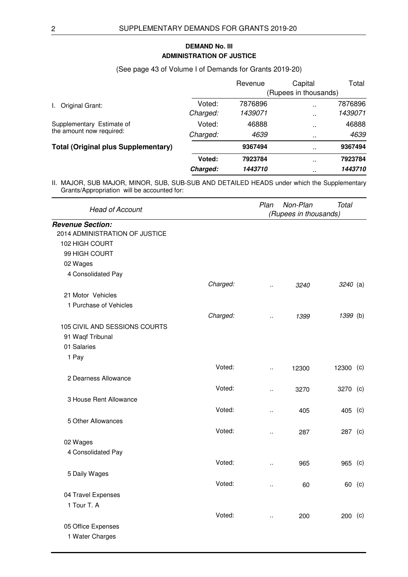# **ADMINISTRATION OF JUSTICE DEMAND No. III**

# (See page 43 of Volume I of Demands for Grants 2019-20)

|                                                       |          | Revenue               | Capital      | Total   |  |
|-------------------------------------------------------|----------|-----------------------|--------------|---------|--|
|                                                       |          | (Rupees in thousands) |              |         |  |
| Original Grant:                                       | Voted:   | 7876896               | $\mathbf{r}$ | 7876896 |  |
|                                                       | Charged: | 1439071               | $\mathbf{r}$ | 1439071 |  |
| Supplementary Estimate of<br>the amount now required: | Voted:   | 46888                 | $\sim$       | 46888   |  |
|                                                       | Charged: | 4639                  | $\sim$       | 4639    |  |
| <b>Total (Original plus Supplementary)</b>            |          | 9367494               | $\sim$       | 9367494 |  |
|                                                       | Voted:   | 7923784               | $\sim$       | 7923784 |  |
|                                                       | Charged: | 1443710               |              | 1443710 |  |

|                                |          | Plan                  | Non-Plan | <b>Total</b> |  |
|--------------------------------|----------|-----------------------|----------|--------------|--|
| <b>Head of Account</b>         |          | (Rupees in thousands) |          |              |  |
| <b>Revenue Section:</b>        |          |                       |          |              |  |
| 2014 ADMINISTRATION OF JUSTICE |          |                       |          |              |  |
| 102 HIGH COURT                 |          |                       |          |              |  |
| 99 HIGH COURT                  |          |                       |          |              |  |
| 02 Wages                       |          |                       |          |              |  |
| 4 Consolidated Pay             |          |                       |          |              |  |
|                                | Charged: | ä,                    | 3240     | $3240$ (a)   |  |
| 21 Motor Vehicles              |          |                       |          |              |  |
| 1 Purchase of Vehicles         |          |                       |          |              |  |
|                                | Charged: | $\ddot{\phantom{a}}$  | 1399     | 1399 (b)     |  |
| 105 CIVIL AND SESSIONS COURTS  |          |                       |          |              |  |
| 91 Waqf Tribunal               |          |                       |          |              |  |
| 01 Salaries                    |          |                       |          |              |  |
| 1 Pay                          |          |                       |          |              |  |
|                                | Voted:   | ä.                    | 12300    | 12300 (c)    |  |
| 2 Dearness Allowance           |          |                       |          |              |  |
|                                | Voted:   | $\ddot{\phantom{a}}$  | 3270     | 3270 (c)     |  |
| 3 House Rent Allowance         |          |                       |          |              |  |
|                                | Voted:   | ä,                    | 405      | 405 (c)      |  |
| 5 Other Allowances             |          |                       |          |              |  |
|                                | Voted:   |                       | 287      | 287 (c)      |  |
| 02 Wages                       |          | $\ddotsc$             |          |              |  |
| 4 Consolidated Pay             |          |                       |          |              |  |
|                                | Voted:   |                       |          |              |  |
|                                |          | ä.                    | 965      | 965 (c)      |  |
| 5 Daily Wages                  |          |                       |          |              |  |
|                                | Voted:   | $\ddot{\phantom{a}}$  | 60       | 60 (c)       |  |
| 04 Travel Expenses             |          |                       |          |              |  |
| 1 Tour T. A                    |          |                       |          |              |  |
|                                | Voted:   | $\ddot{\phantom{a}}$  | 200      | 200 (c)      |  |
| 05 Office Expenses             |          |                       |          |              |  |
| 1 Water Charges                |          |                       |          |              |  |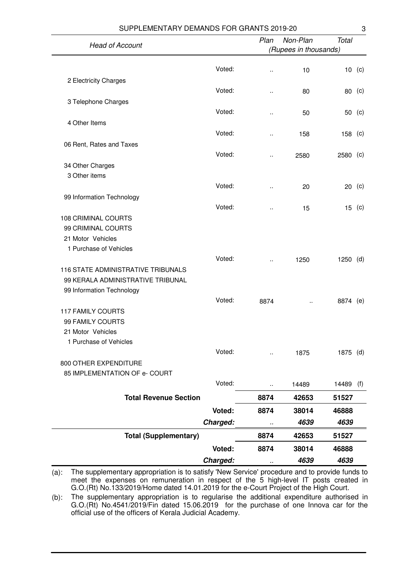| SUPPLEMENTARY DEMANDS FOR GRANTS 2019-20    |          |                      |                       |              | 3      |
|---------------------------------------------|----------|----------------------|-----------------------|--------------|--------|
| <b>Head of Account</b>                      |          | Plan                 | Non-Plan              | <b>Total</b> |        |
|                                             |          |                      | (Rupees in thousands) |              |        |
|                                             |          |                      |                       |              |        |
|                                             | Voted:   | $\ddot{\phantom{0}}$ | 10                    |              | 10 (c) |
| 2 Electricity Charges                       |          |                      |                       |              |        |
|                                             | Voted:   | $\ddot{\phantom{a}}$ | 80                    | 80 (c)       |        |
| 3 Telephone Charges                         |          |                      |                       |              |        |
|                                             | Voted:   | .,                   | 50                    | 50           | (c)    |
| 4 Other Items                               | Voted:   |                      |                       |              |        |
|                                             |          | ٠.                   | 158                   | 158 (c)      |        |
| 06 Rent, Rates and Taxes                    | Voted:   |                      |                       |              |        |
|                                             |          | Ω.                   | 2580                  | $2580$ (c)   |        |
| 34 Other Charges<br>3 Other items           |          |                      |                       |              |        |
|                                             | Voted:   | .,                   | 20                    | 20           | (c)    |
| 99 Information Technology                   |          |                      |                       |              |        |
|                                             | Voted:   |                      | 15                    | 15           | (c)    |
| <b>108 CRIMINAL COURTS</b>                  |          |                      |                       |              |        |
| 99 CRIMINAL COURTS                          |          |                      |                       |              |        |
| 21 Motor Vehicles                           |          |                      |                       |              |        |
| 1 Purchase of Vehicles                      |          |                      |                       |              |        |
|                                             | Voted:   | .,                   | 1250                  | $1250$ (d)   |        |
| 116 STATE ADMINISTRATIVE TRIBUNALS          |          |                      |                       |              |        |
| 99 KERALA ADMINISTRATIVE TRIBUNAL           |          |                      |                       |              |        |
| 99 Information Technology                   |          |                      |                       |              |        |
|                                             | Voted:   | 8874                 |                       | 8874         | (e)    |
| <b>117 FAMILY COURTS</b>                    |          |                      |                       |              |        |
| 99 FAMILY COURTS                            |          |                      |                       |              |        |
| 21 Motor Vehicles<br>1 Purchase of Vehicles |          |                      |                       |              |        |
|                                             | Voted:   |                      | 1875                  | 1875 (d)     |        |
| 800 OTHER EXPENDITURE                       |          |                      |                       |              |        |
| 85 IMPLEMENTATION OF e- COURT               |          |                      |                       |              |        |
|                                             | Voted:   | Ω,                   | 14489                 | 14489        | (f)    |
| <b>Total Revenue Section</b>                |          |                      |                       |              |        |
|                                             |          | 8874                 | 42653                 | 51527        |        |
|                                             | Voted:   | 8874                 | 38014                 | 46888        |        |
|                                             | Charged: |                      | 4639                  | 4639         |        |
| <b>Total (Supplementary)</b>                |          | 8874                 | 42653                 | 51527        |        |
|                                             | Voted:   | 8874                 | 38014                 | 46888        |        |
|                                             | Charged: |                      | 4639                  | 4639         |        |

(a): The supplementary appropriation is to satisfy 'New Service' procedure and to provide funds to meet the expenses on remuneration in respect of the 5 high-level IT posts created in G.O.(Rt) No.133/2019/Home dated 14.01.2019 for the e-Court Project of the High Court.

(b): The supplementary appropriation is to regularise the additional expenditure authorised in G.O.(Rt) No.4541/2019/Fin dated 15.06.2019 for the purchase of one Innova car for the official use of the officers of Kerala Judicial Academy.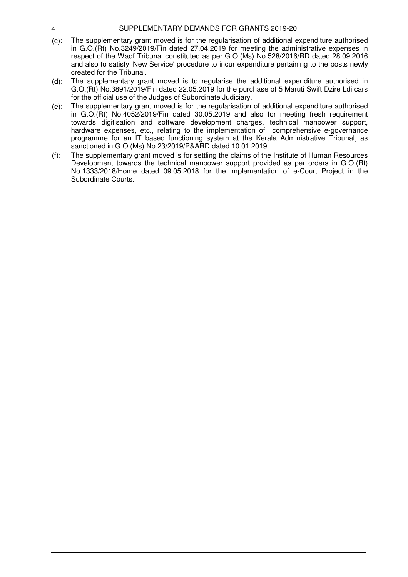- (c): The supplementary grant moved is for the regularisation of additional expenditure authorised in G.O.(Rt) No.3249/2019/Fin dated 27.04.2019 for meeting the administrative expenses in respect of the Waqf Tribunal constituted as per G.O.(Ms) No.528/2016/RD dated 28.09.2016 and also to satisfy 'New Service' procedure to incur expenditure pertaining to the posts newly created for the Tribunal.
- (d): The supplementary grant moved is to regularise the additional expenditure authorised in G.O.(Rt) No.3891/2019/Fin dated 22.05.2019 for the purchase of 5 Maruti Swift Dzire Ldi cars for the official use of the Judges of Subordinate Judiciary.
- (e): The supplementary grant moved is for the regularisation of additional expenditure authorised in G.O.(Rt) No.4052/2019/Fin dated 30.05.2019 and also for meeting fresh requirement towards digitisation and software development charges, technical manpower support, hardware expenses, etc., relating to the implementation of comprehensive e-governance programme for an IT based functioning system at the Kerala Administrative Tribunal, as sanctioned in G.O.(Ms) No.23/2019/P&ARD dated 10.01.2019.
- (f): The supplementary grant moved is for settling the claims of the Institute of Human Resources Development towards the technical manpower support provided as per orders in G.O.(Rt) No.1333/2018/Home dated 09.05.2018 for the implementation of e-Court Project in the Subordinate Courts.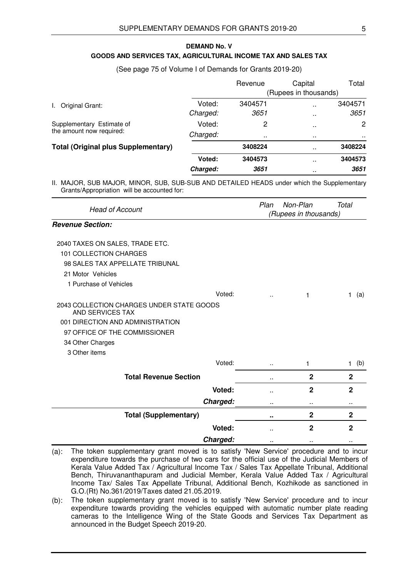#### **GOODS AND SERVICES TAX, AGRICULTURAL INCOME TAX AND SALES TAX DEMAND No. V**

#### (See page 75 of Volume I of Demands for Grants 2019-20)

|                                                       |          | Revenue               | Capital       | Total                 |  |
|-------------------------------------------------------|----------|-----------------------|---------------|-----------------------|--|
|                                                       |          | (Rupees in thousands) |               |                       |  |
| Original Grant:<br>L.                                 | Voted:   | 3404571               | $\sim$        | 3404571               |  |
|                                                       | Charged: | 3651                  | $\sim$        | 3651                  |  |
| Supplementary Estimate of<br>the amount now required: | Voted:   | 2                     | $\sim$        | $\mathbf{2}^{\prime}$ |  |
|                                                       | Charged: |                       | $\sim$ $\sim$ | $\sim$ $\sim$         |  |
| <b>Total (Original plus Supplementary)</b>            |          | 3408224               | $\sim$        | 3408224               |  |
|                                                       | Voted:   | 3404573               | $\sim$        | 3404573               |  |
|                                                       | Charged: | 3651                  | $\sim$        | 3651                  |  |

| <b>Head of Account</b>                                        | Plan<br>Non-Plan<br>(Rupees in thousands) |              | Total               |
|---------------------------------------------------------------|-------------------------------------------|--------------|---------------------|
| <b>Revenue Section:</b>                                       |                                           |              |                     |
| 2040 TAXES ON SALES, TRADE ETC.                               |                                           |              |                     |
| 101 COLLECTION CHARGES                                        |                                           |              |                     |
| 98 SALES TAX APPELLATE TRIBUNAL                               |                                           |              |                     |
| 21 Motor Vehicles                                             |                                           |              |                     |
| 1 Purchase of Vehicles                                        |                                           |              |                     |
| Voted:                                                        |                                           | 1            | $\mathbf{1}$<br>(a) |
| 2043 COLLECTION CHARGES UNDER STATE GOODS<br>AND SERVICES TAX |                                           |              |                     |
| 001 DIRECTION AND ADMINISTRATION                              |                                           |              |                     |
| 97 OFFICE OF THE COMMISSIONER                                 |                                           |              |                     |
| 34 Other Charges                                              |                                           |              |                     |
| 3 Other items                                                 |                                           |              |                     |
| Voted:                                                        | $\ddot{\phantom{a}}$                      | 1            | (b)<br>$\mathbf{1}$ |
| <b>Total Revenue Section</b>                                  | $\sim$                                    | $\mathbf{2}$ | $\mathbf{2}$        |
| Voted:                                                        | $\ddot{\phantom{a}}$                      | $\mathbf{2}$ | $\overline{2}$      |
| Charged:                                                      |                                           |              |                     |
| <b>Total (Supplementary)</b>                                  |                                           | $\mathbf{2}$ | $\mathbf 2$         |
| Voted:                                                        |                                           | $\mathbf 2$  | $\mathbf 2$         |
| Charged:                                                      |                                           |              |                     |

<sup>(</sup>a): The token supplementary grant moved is to satisfy 'New Service' procedure and to incur expenditure towards the purchase of two cars for the official use of the Judicial Members of Kerala Value Added Tax / Agricultural Income Tax / Sales Tax Appellate Tribunal, Additional Bench, Thiruvananthapuram and Judicial Member, Kerala Value Added Tax / Agricultural Income Tax/ Sales Tax Appellate Tribunal, Additional Bench, Kozhikode as sanctioned in G.O.(Rt) No.361/2019/Taxes dated 21.05.2019.

<sup>(</sup>b): The token supplementary grant moved is to satisfy 'New Service' procedure and to incur expenditure towards providing the vehicles equipped with automatic number plate reading cameras to the Intelligence Wing of the State Goods and Services Tax Department as announced in the Budget Speech 2019-20.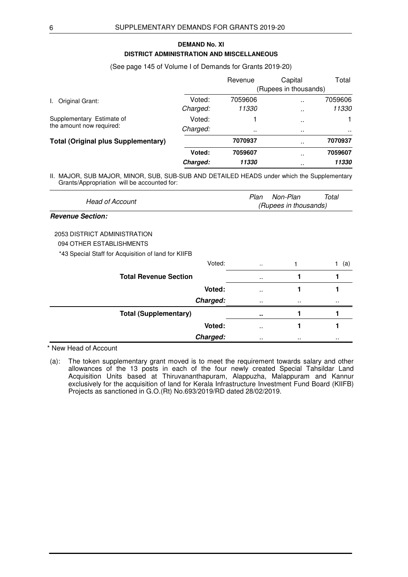# **DISTRICT ADMINISTRATION AND MISCELLANEOUS DEMAND No. XI**

#### (See page 145 of Volume I of Demands for Grants 2019-20)

|                                                       |          | Revenue               | Capital              | Total   |  |
|-------------------------------------------------------|----------|-----------------------|----------------------|---------|--|
|                                                       |          | (Rupees in thousands) |                      |         |  |
| Original Grant:<br>L.                                 | Voted:   | 7059606               | $\ddot{\phantom{0}}$ | 7059606 |  |
|                                                       | Charged: | 11330                 |                      | 11330   |  |
| Supplementary Estimate of<br>the amount now required: | Voted:   |                       |                      |         |  |
|                                                       | Charged: | $\cdot$ .             | $\sim$ $\sim$        |         |  |
| <b>Total (Original plus Supplementary)</b>            |          | 7070937               | $\ddot{\phantom{0}}$ | 7070937 |  |
|                                                       | Voted:   | 7059607               |                      | 7059607 |  |
|                                                       | Charged: | 11330                 |                      | 11330   |  |

II. MAJOR, SUB MAJOR, MINOR, SUB, SUB-SUB AND DETAILED HEADS under which the Supplementary Grants/Appropriation will be accounted for:

| <b>Head of Account</b> | Total<br>Plan Non-Plan |  |
|------------------------|------------------------|--|
|                        | (Rupees in thousands)  |  |

# **Revenue Section:**

2053 DISTRICT ADMINISTRATION

094 OTHER ESTABLISHMENTS

\*43 Special Staff for Acquisition of land for KIIFB

| Voted:                       | $\ddotsc$           |          | (a) |
|------------------------------|---------------------|----------|-----|
| <b>Total Revenue Section</b> | $\sim$              |          |     |
| Voted:                       | $\sim$              |          |     |
| Charged:                     | $\cdot$ .           | $\cdots$ |     |
| <b>Total (Supplementary)</b> | $\bullet$ $\bullet$ |          |     |
| Voted:                       | $\ddotsc$           |          |     |
| Charged:                     | $\cdot$ .           |          |     |

\* New Head of Account

(a): The token supplementary grant moved is to meet the requirement towards salary and other allowances of the 13 posts in each of the four newly created Special Tahsildar Land Acquisition Units based at Thiruvananthapuram, Alappuzha, Malappuram and Kannur exclusively for the acquisition of land for Kerala Infrastructure Investment Fund Board (KIIFB) Projects as sanctioned in G.O.(Rt) No.693/2019/RD dated 28/02/2019.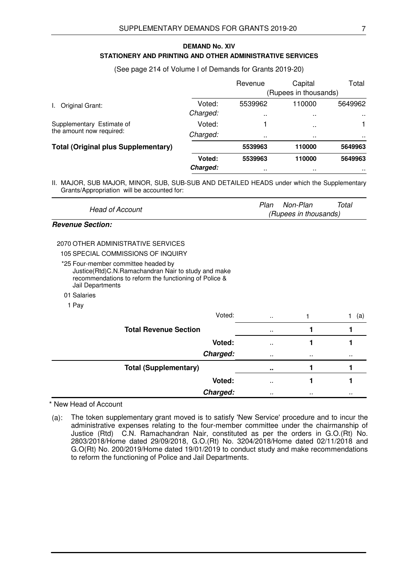## **STATIONERY AND PRINTING AND OTHER ADMINISTRATIVE SERVICES DEMAND No. XIV**

#### (See page 214 of Volume I of Demands for Grants 2019-20)

|                                                       |                    | Revenue                         | Capital<br>(Rupees in thousands)     | Total                    |
|-------------------------------------------------------|--------------------|---------------------------------|--------------------------------------|--------------------------|
| Original Grant:                                       | Voted:<br>Charged: | 5539962<br>$\ddot{\phantom{0}}$ | 110000<br>$\sim$                     | 5649962<br>$\cdots$      |
| Supplementary Estimate of<br>the amount now required: | Voted:<br>Charged: | $\mathbf{a}$                    | $\ddot{\phantom{0}}$<br><b>A</b> 100 | . .                      |
| <b>Total (Original plus Supplementary)</b>            |                    | 5539963                         | 110000                               | 5649963                  |
|                                                       | Voted:<br>Charged: | 5539963<br>$\sim$               | 110000<br>$\sim$                     | 5649963<br>$\sim$ $\sim$ |

II. MAJOR, SUB MAJOR, MINOR, SUB, SUB-SUB AND DETAILED HEADS under which the Supplementary Grants/Appropriation will be accounted for:

| Head of Account | Total<br>Plan<br>Non-Plan |
|-----------------|---------------------------|
|                 | (Rupees in thousands)     |
|                 |                           |

## **Revenue Section:**

### 2070 OTHER ADMINISTRATIVE SERVICES

105 SPECIAL COMMISSIONS OF INQUIRY

- \*25 Four-member committee headed by Justice(Rtd)C.N.Ramachandran Nair to study and make recommendations to reform the functioning of Police & Jail Departments
- 01 Salaries
- 1 Pay

| Voted:                       | $\ddot{\phantom{a}}$ |           | (a)       |
|------------------------------|----------------------|-----------|-----------|
| <b>Total Revenue Section</b> | $\sim$ $\sim$        |           |           |
| Voted:                       | $\sim$               |           |           |
| Charged:                     | $\cdot$ .            | $\cdot$ . | $\cdot$ . |
| <b>Total (Supplementary)</b> | $\bullet$ $\bullet$  |           |           |
| Voted:                       | . .                  |           |           |
| Charged:                     | $\cdot$ .            | $\cdot$ . | $\cdot$ . |

\* New Head of Account

(a): The token supplementary grant moved is to satisfy 'New Service' procedure and to incur the administrative expenses relating to the four-member committee under the chairmanship of Justice (Rtd) C.N. Ramachandran Nair, constituted as per the orders in G.O.(Rt) No. 2803/2018/Home dated 29/09/2018, G.O.(Rt) No. 3204/2018/Home dated 02/11/2018 and G.O(Rt) No. 200/2019/Home dated 19/01/2019 to conduct study and make recommendations to reform the functioning of Police and Jail Departments.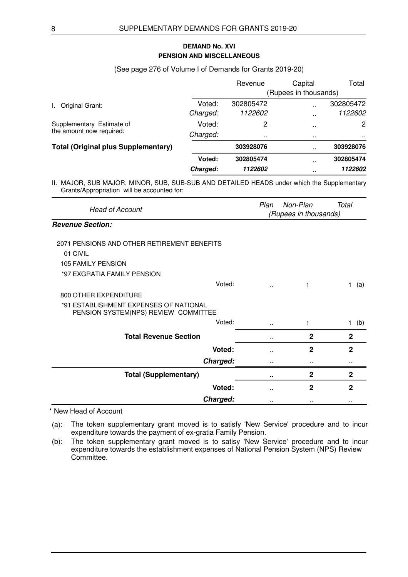# **PENSION AND MISCELLANEOUS DEMAND No. XVI**

(See page 276 of Volume I of Demands for Grants 2019-20)

|                                                                                                                                                           |          | Revenue   | Capital               | Total     |
|-----------------------------------------------------------------------------------------------------------------------------------------------------------|----------|-----------|-----------------------|-----------|
|                                                                                                                                                           |          |           | (Rupees in thousands) |           |
| Original Grant:<br>L.                                                                                                                                     | Voted:   | 302805472 | $\ddotsc$             | 302805472 |
|                                                                                                                                                           | Charged: | 1122602   | $\sim$                | 1122602   |
| Supplementary Estimate of                                                                                                                                 | Voted:   | 2         | $\sim$                | 2         |
| the amount now required:                                                                                                                                  | Charged: |           | $\sim$                | $\sim$    |
| <b>Total (Original plus Supplementary)</b>                                                                                                                |          | 303928076 | $\ddot{\phantom{a}}$  | 303928076 |
|                                                                                                                                                           | Voted:   | 302805474 | $\sim$                | 302805474 |
|                                                                                                                                                           | Charged: | 1122602   | $\sim$                | 1122602   |
| II. MAJOR, SUB MAJOR, MINOR, SUB, SUB-SUB AND DETAILED HEADS under which the Supplementary<br>$C$ rents $\Lambda$ no rencessation will be esserinted fex- |          |           |                       |           |

Grants/Appropriation will be accounted for:

| <b>Head of Account</b>                                                         | Plan | Non-Plan<br>(Rupees in thousands) | Total            |
|--------------------------------------------------------------------------------|------|-----------------------------------|------------------|
| <b>Revenue Section:</b>                                                        |      |                                   |                  |
| 2071 PENSIONS AND OTHER RETIREMENT BENEFITS                                    |      |                                   |                  |
| 01 CIVIL                                                                       |      |                                   |                  |
| <b>105 FAMILY PENSION</b>                                                      |      |                                   |                  |
| *97 EXGRATIA FAMILY PENSION                                                    |      |                                   |                  |
| Voted:                                                                         |      | 1                                 | (a)<br>1.        |
| <b>800 OTHER EXPENDITURE</b>                                                   |      |                                   |                  |
| *91 ESTABLISHMENT EXPENSES OF NATIONAL<br>PENSION SYSTEM(NPS) REVIEW COMMITTEE |      |                                   |                  |
| Voted:                                                                         |      | 1                                 | (b)<br>$1 \cdot$ |
| <b>Total Revenue Section</b>                                                   | ٠.   | $\mathbf{2}$                      | $\mathbf{2}$     |
| Voted:                                                                         | ٠.   | $\mathbf{2}$                      | $\mathbf{2}$     |
| Charged:                                                                       |      |                                   |                  |
| <b>Total (Supplementary)</b>                                                   |      | $\overline{2}$                    | $\mathbf{2}$     |
| Voted:                                                                         |      | $\overline{2}$                    | $\mathbf{2}$     |
| Charged:                                                                       |      |                                   | $\cdot$ .        |

\* New Head of Account

(a): The token supplementary grant moved is to satisfy 'New Service' procedure and to incur expenditure towards the payment of ex-gratia Family Pension.

(b): The token supplementary grant moved is to satisy 'New Service' procedure and to incur expenditure towards the establishment expenses of National Pension System (NPS) Review Committee.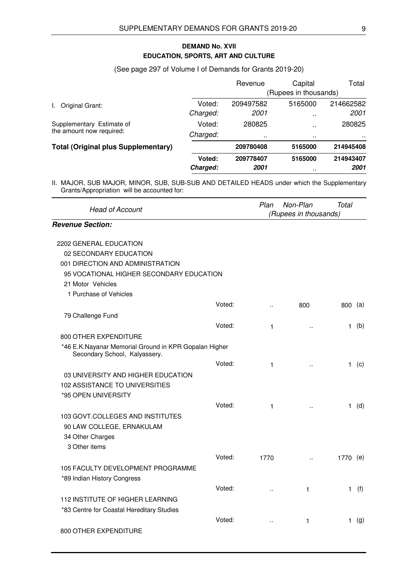# **EDUCATION, SPORTS, ART AND CULTURE DEMAND No. XVII**

# (See page 297 of Volume I of Demands for Grants 2019-20)

|                                            |          | Revenue   | Capital               | Total     |
|--------------------------------------------|----------|-----------|-----------------------|-----------|
|                                            |          |           | (Rupees in thousands) |           |
| Original Grant:<br>L.                      | Voted:   | 209497582 | 5165000               | 214662582 |
|                                            | Charged: | 2001      | $\ddot{\phantom{0}}$  | 2001      |
| Supplementary Estimate of                  | Voted:   | 280825    |                       | 280825    |
| the amount now required:                   | Charged: |           | $\sim$                |           |
| <b>Total (Original plus Supplementary)</b> |          | 209780408 | 5165000               | 214945408 |
|                                            | Voted:   | 209778407 | 5165000               | 214943407 |
|                                            | Charged: | 2001      | .                     | 2001      |

| <b>Head of Account</b>                                                                 |        | Plan                 | Non-Plan<br>(Rupees in thousands) | Total     |         |
|----------------------------------------------------------------------------------------|--------|----------------------|-----------------------------------|-----------|---------|
| <b>Revenue Section:</b>                                                                |        |                      |                                   |           |         |
| 2202 GENERAL EDUCATION                                                                 |        |                      |                                   |           |         |
| 02 SECONDARY EDUCATION                                                                 |        |                      |                                   |           |         |
| 001 DIRECTION AND ADMINISTRATION                                                       |        |                      |                                   |           |         |
| 95 VOCATIONAL HIGHER SECONDARY EDUCATION                                               |        |                      |                                   |           |         |
| 21 Motor Vehicles                                                                      |        |                      |                                   |           |         |
| 1 Purchase of Vehicles                                                                 |        |                      |                                   |           |         |
|                                                                                        | Voted: | ä.                   | 800                               | $800$ (a) |         |
| 79 Challenge Fund                                                                      |        |                      |                                   |           |         |
|                                                                                        | Voted: | 1                    |                                   |           | $1$ (b) |
| 800 OTHER EXPENDITURE                                                                  |        |                      |                                   |           |         |
| *46 E.K.Nayanar Memorial Ground in KPR Gopalan Higher<br>Secondary School, Kalyassery. |        |                      |                                   |           |         |
|                                                                                        | Voted: | 1                    | $\ddot{\phantom{a}}$              |           | $1$ (c) |
| 03 UNIVERSITY AND HIGHER EDUCATION                                                     |        |                      |                                   |           |         |
| 102 ASSISTANCE TO UNIVERSITIES                                                         |        |                      |                                   |           |         |
| *95 OPEN UNIVERSITY                                                                    |        |                      |                                   |           |         |
|                                                                                        | Voted: | 1                    |                                   |           | $1$ (d) |
| 103 GOVT.COLLEGES AND INSTITUTES                                                       |        |                      |                                   |           |         |
| 90 LAW COLLEGE, ERNAKULAM                                                              |        |                      |                                   |           |         |
| 34 Other Charges                                                                       |        |                      |                                   |           |         |
| 3 Other items                                                                          |        |                      |                                   |           |         |
|                                                                                        | Voted: | 1770                 |                                   | 1770 (e)  |         |
| 105 FACULTY DEVELOPMENT PROGRAMME                                                      |        |                      |                                   |           |         |
| *89 Indian History Congress                                                            |        |                      |                                   |           |         |
|                                                                                        | Voted: | $\ddot{\phantom{a}}$ | 1                                 | 1.        | (f)     |
| 112 INSTITUTE OF HIGHER LEARNING                                                       |        |                      |                                   |           |         |
| *83 Centre for Coastal Hereditary Studies                                              |        |                      |                                   |           |         |
|                                                                                        | Voted: | $\ddot{\phantom{a}}$ | 1                                 |           | $1$ (g) |
| 800 OTHER EXPENDITURE                                                                  |        |                      |                                   |           |         |
|                                                                                        |        |                      |                                   |           |         |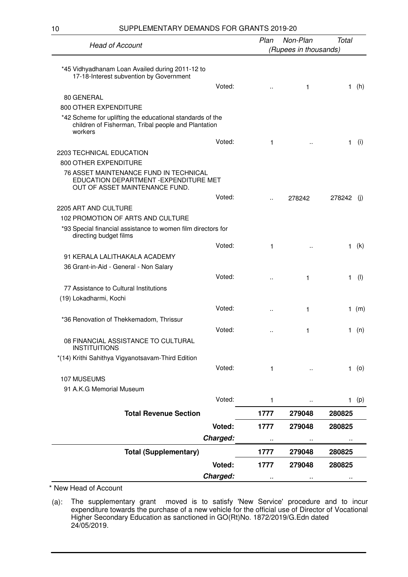10 SUPPLEMENTARY DEMANDS FOR GRANTS 2019-20

|                                                                                                                             | Non-Plan<br>Plan<br><b>Head of Account</b> |                      | Total                 |        |         |
|-----------------------------------------------------------------------------------------------------------------------------|--------------------------------------------|----------------------|-----------------------|--------|---------|
|                                                                                                                             |                                            |                      | (Rupees in thousands) |        |         |
| *45 Vidhyadhanam Loan Availed during 2011-12 to<br>17-18-Interest subvention by Government                                  |                                            |                      |                       |        |         |
|                                                                                                                             | Voted:                                     |                      | 1                     | 1.     | (h)     |
| 80 GENERAL                                                                                                                  |                                            |                      |                       |        |         |
| 800 OTHER EXPENDITURE                                                                                                       |                                            |                      |                       |        |         |
| *42 Scheme for uplifting the educational standards of the<br>children of Fisherman, Tribal people and Plantation<br>workers |                                            |                      |                       |        |         |
|                                                                                                                             | Voted:                                     | 1                    |                       | 1.     | (i)     |
| 2203 TECHNICAL EDUCATION                                                                                                    |                                            |                      |                       |        |         |
| 800 OTHER EXPENDITURE                                                                                                       |                                            |                      |                       |        |         |
| 76 ASSET MAINTENANCE FUND IN TECHNICAL<br>EDUCATION DEPARTMENT - EXPENDITURE MET<br>OUT OF ASSET MAINTENANCE FUND.          |                                            |                      |                       |        |         |
|                                                                                                                             | Voted:                                     |                      | 278242                | 278242 | (i)     |
| 2205 ART AND CULTURE                                                                                                        |                                            |                      |                       |        |         |
| 102 PROMOTION OF ARTS AND CULTURE                                                                                           |                                            |                      |                       |        |         |
| *93 Special financial assistance to women film directors for<br>directing budget films                                      |                                            |                      |                       |        |         |
|                                                                                                                             | Voted:                                     | 1                    |                       |        | 1 $(k)$ |
| 91 KERALA LALITHAKALA ACADEMY                                                                                               |                                            |                      |                       |        |         |
| 36 Grant-in-Aid - General - Non Salary                                                                                      |                                            |                      |                       |        |         |
|                                                                                                                             | Voted:                                     |                      | 1                     | 1      | (1)     |
| 77 Assistance to Cultural Institutions                                                                                      |                                            |                      |                       |        |         |
| (19) Lokadharmi, Kochi                                                                                                      |                                            |                      |                       |        |         |
|                                                                                                                             | Voted:                                     | $\ddot{\phantom{a}}$ | 1                     |        | 1 $(m)$ |
| *36 Renovation of Thekkemadom, Thrissur                                                                                     |                                            |                      |                       |        |         |
|                                                                                                                             | Voted:                                     |                      | 1                     |        | 1 $(n)$ |
| 08 FINANCIAL ASSISTANCE TO CULTURAL<br><b>INSTITUITIONS</b>                                                                 |                                            |                      |                       |        |         |
| *(14) Krithi Sahithya Vigyanotsavam-Third Edition                                                                           |                                            |                      |                       |        |         |
|                                                                                                                             | Voted:                                     | 1                    |                       |        | $1$ (o) |
| 107 MUSEUMS                                                                                                                 |                                            |                      |                       |        |         |
| 91 A.K.G Memorial Museum                                                                                                    |                                            |                      |                       |        |         |
|                                                                                                                             | Voted:                                     | 1                    |                       |        | 1(p)    |
| <b>Total Revenue Section</b>                                                                                                |                                            | 1777                 | 279048                | 280825 |         |
|                                                                                                                             | Voted:                                     | 1777                 | 279048                | 280825 |         |
|                                                                                                                             | Charged:                                   |                      |                       |        |         |
| <b>Total (Supplementary)</b>                                                                                                |                                            | <br>1777             | 279048                | 280825 |         |
|                                                                                                                             | Voted:                                     | 1777                 | 279048                | 280825 |         |
|                                                                                                                             | Charged:                                   |                      |                       |        |         |

\* New Head of Account

(a): The supplementary grant moved is to satisfy 'New Service' procedure and to incur expenditure towards the purchase of a new vehicle for the official use of Director of Vocational Higher Secondary Education as sanctioned in GO(Rt)No. 1872/2019/G.Edn dated 24/05/2019.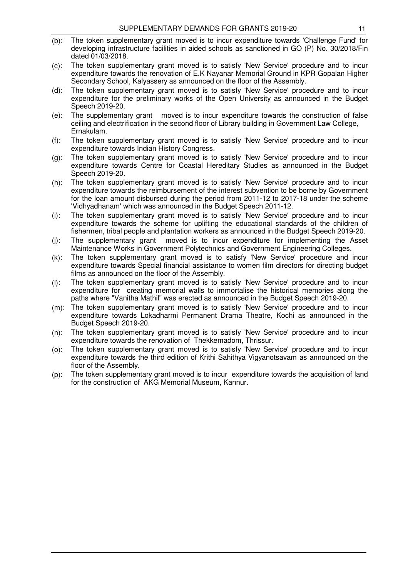- (b): The token supplementary grant moved is to incur expenditure towards 'Challenge Fund' for developing infrastructure facilities in aided schools as sanctioned in GO (P) No. 30/2018/Fin dated 01/03/2018.
- (c): The token supplementary grant moved is to satisfy 'New Service' procedure and to incur expenditure towards the renovation of E.K Nayanar Memorial Ground in KPR Gopalan Higher Secondary School, Kalyassery as announced on the floor of the Assembly.
- (d): The token supplementary grant moved is to satisfy 'New Service' procedure and to incur expenditure for the preliminary works of the Open University as announced in the Budget Speech 2019-20.
- (e): The supplementary grant moved is to incur expenditure towards the construction of false ceiling and electrification in the second floor of Library building in Government Law College, Ernakulam.
- (f): The token supplementary grant moved is to satisfy 'New Service' procedure and to incur expenditure towards Indian History Congress.
- (g): The token supplementary grant moved is to satisfy 'New Service' procedure and to incur expenditure towards Centre for Coastal Hereditary Studies as announced in the Budget Speech 2019-20.
- (h): The token supplementary grant moved is to satisfy 'New Service' procedure and to incur expenditure towards the reimbursement of the interest subvention to be borne by Government for the loan amount disbursed during the period from 2011-12 to 2017-18 under the scheme 'Vidhyadhanam' which was announced in the Budget Speech 2011-12.
- (i): The token supplementary grant moved is to satisfy 'New Service' procedure and to incur expenditure towards the scheme for uplifting the educational standards of the children of fishermen, tribal people and plantation workers as announced in the Budget Speech 2019-20.
- (j): The supplementary grant moved is to incur expenditure for implementing the Asset Maintenance Works in Government Polytechnics and Government Engineering Colleges.
- (k): The token supplementary grant moved is to satisfy 'New Service' procedure and incur expenditure towards Special financial assistance to women film directors for directing budget films as announced on the floor of the Assembly.
- (l): The token supplementary grant moved is to satisfy 'New Service' procedure and to incur expenditure for creating memorial walls to immortalise the historical memories along the paths where "Vanitha Mathil" was erected as announced in the Budget Speech 2019-20.
- (m): The token supplementary grant moved is to satisfy 'New Service' procedure and to incur expenditure towards Lokadharmi Permanent Drama Theatre, Kochi as announced in the Budget Speech 2019-20.
- (n): The token supplementary grant moved is to satisfy 'New Service' procedure and to incur expenditure towards the renovation of Thekkemadom, Thrissur.
- (o): The token supplementary grant moved is to satisfy 'New Service' procedure and to incur expenditure towards the third edition of Krithi Sahithya Vigyanotsavam as announced on the floor of the Assembly.
- (p): The token supplementary grant moved is to incur expenditure towards the acquisition of land for the construction of AKG Memorial Museum, Kannur.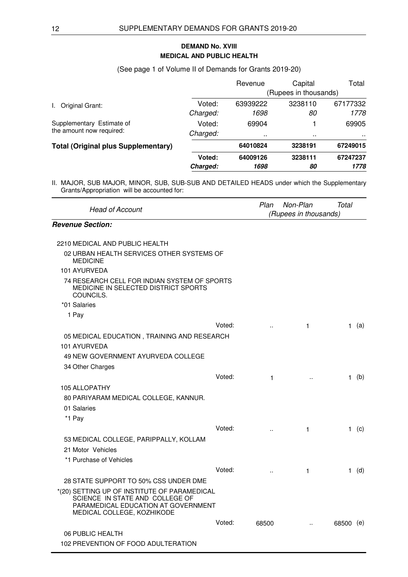# **MEDICAL AND PUBLIC HEALTH DEMAND No. XVIII**

(See page 1 of Volume II of Demands for Grants 2019-20)

|                                            |          | Revenue  | Capital               | Total    |
|--------------------------------------------|----------|----------|-----------------------|----------|
|                                            |          |          | (Rupees in thousands) |          |
| Original Grant:<br>I.,                     | Voted:   | 63939222 | 3238110               | 67177332 |
|                                            | Charged: | 1698     | 80                    | 1778     |
| Supplementary Estimate of                  | Voted:   | 69904    |                       | 69905    |
| the amount now required:                   | Charged: | $\sim$   | $\sim$ $\sim$         | . .      |
| <b>Total (Original plus Supplementary)</b> |          | 64010824 | 3238191               | 67249015 |
|                                            | Voted:   | 64009126 | 3238111               | 67247237 |
|                                            | Charged: | 1698     | 80                    | 1778     |

| <b>Head of Account</b>                                                                                                                               |        | Plan                 | Non-Plan<br>(Rupees in thousands) | Total     |         |
|------------------------------------------------------------------------------------------------------------------------------------------------------|--------|----------------------|-----------------------------------|-----------|---------|
| <b>Revenue Section:</b>                                                                                                                              |        |                      |                                   |           |         |
| 2210 MEDICAL AND PUBLIC HEALTH                                                                                                                       |        |                      |                                   |           |         |
| 02 URBAN HEALTH SERVICES OTHER SYSTEMS OF<br><b>MEDICINE</b>                                                                                         |        |                      |                                   |           |         |
| 101 AYURVEDA                                                                                                                                         |        |                      |                                   |           |         |
| 74 RESEARCH CELL FOR INDIAN SYSTEM OF SPORTS<br>MEDICINE IN SELECTED DISTRICT SPORTS<br>COUNCILS.                                                    |        |                      |                                   |           |         |
| *01 Salaries                                                                                                                                         |        |                      |                                   |           |         |
| 1 Pay                                                                                                                                                |        |                      |                                   |           |         |
|                                                                                                                                                      | Voted: | $\ddot{\phantom{a}}$ | 1                                 |           | 1 (a)   |
| 05 MEDICAL EDUCATION, TRAINING AND RESEARCH                                                                                                          |        |                      |                                   |           |         |
| 101 AYURVEDA                                                                                                                                         |        |                      |                                   |           |         |
| 49 NEW GOVERNMENT AYURVEDA COLLEGE                                                                                                                   |        |                      |                                   |           |         |
| 34 Other Charges                                                                                                                                     |        |                      |                                   |           |         |
|                                                                                                                                                      | Voted: | 1                    |                                   |           | $1$ (b) |
| <b>105 ALLOPATHY</b>                                                                                                                                 |        |                      |                                   |           |         |
| 80 PARIYARAM MEDICAL COLLEGE, KANNUR.                                                                                                                |        |                      |                                   |           |         |
| 01 Salaries                                                                                                                                          |        |                      |                                   |           |         |
| *1 Pay                                                                                                                                               |        |                      |                                   |           |         |
|                                                                                                                                                      | Voted: | $\ddotsc$            | $\mathbf{1}$                      |           | $1$ (c) |
| 53 MEDICAL COLLEGE, PARIPPALLY, KOLLAM                                                                                                               |        |                      |                                   |           |         |
| 21 Motor Vehicles                                                                                                                                    |        |                      |                                   |           |         |
| *1 Purchase of Vehicles                                                                                                                              |        |                      |                                   |           |         |
|                                                                                                                                                      | Voted: | $\ddot{\phantom{a}}$ | 1                                 |           | $1$ (d) |
| 28 STATE SUPPORT TO 50% CSS UNDER DME                                                                                                                |        |                      |                                   |           |         |
| *(20) SETTING UP OF INSTITUTE OF PARAMEDICAL<br>SCIENCE IN STATE AND COLLEGE OF<br>PARAMEDICAL EDUCATION AT GOVERNMENT<br>MEDICAL COLLEGE, KOZHIKODE |        |                      |                                   |           |         |
|                                                                                                                                                      | Voted: | 68500                |                                   | 68500 (e) |         |
| 06 PUBLIC HEALTH                                                                                                                                     |        |                      |                                   |           |         |
| 102 PREVENTION OF FOOD ADULTERATION                                                                                                                  |        |                      |                                   |           |         |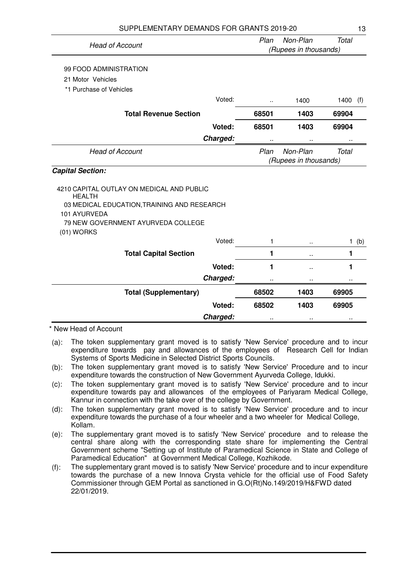| SUPPLEMENTARY DEMANDS FOR GRANTS 2019-20                   |                       |                       | 13           |
|------------------------------------------------------------|-----------------------|-----------------------|--------------|
|                                                            | Plan                  | Non-Plan              | <b>Total</b> |
| <b>Head of Account</b>                                     |                       | (Rupees in thousands) |              |
| 99 FOOD ADMINISTRATION                                     |                       |                       |              |
| 21 Motor Vehicles                                          |                       |                       |              |
| *1 Purchase of Vehicles                                    |                       |                       |              |
| Voted:                                                     |                       | 1400                  | 1400<br>(f)  |
| <b>Total Revenue Section</b>                               | 68501                 | 1403                  | 69904        |
| Voted:                                                     | 68501                 | 1403                  | 69904        |
| Charged:                                                   | .,                    |                       | .,           |
| <b>Head of Account</b>                                     | Plan                  | Non-Plan              | Total        |
|                                                            | (Rupees in thousands) |                       |              |
| <b>Capital Section:</b>                                    |                       |                       |              |
| 4210 CAPITAL OUTLAY ON MEDICAL AND PUBLIC<br><b>HEALTH</b> |                       |                       |              |
| 03 MEDICAL EDUCATION, TRAINING AND RESEARCH                |                       |                       |              |
| 101 AYURVEDA                                               |                       |                       |              |
| 79 NEW GOVERNMENT AYURVEDA COLLEGE<br>$(01)$ WORKS         |                       |                       |              |
| Voted:                                                     | 1                     | $\ddot{\phantom{a}}$  | $1$ (b)      |
| <b>Total Capital Section</b>                               | 1                     | ò.                    | 1            |
| Voted:                                                     | 1                     | ٠.                    | 1            |
| Charged:                                                   |                       |                       |              |
| <b>Total (Supplementary)</b>                               | 68502                 | 1403                  | 69905        |
| Voted:                                                     | 68502                 | 1403                  | 69905        |
| Charged:                                                   |                       | .,                    |              |

\* New Head of Account

<sup>(</sup>a): The token supplementary grant moved is to satisfy 'New Service' procedure and to incur expenditure towards pay and allowances of the employees of Research Cell for Indian Systems of Sports Medicine in Selected District Sports Councils.

<sup>(</sup>b): The token supplementary grant moved is to satisfy 'New Service' Procedure and to incur expenditure towards the construction of New Government Ayurveda College, Idukki.

<sup>(</sup>c): The token supplementary grant moved is to satisfy 'New Service' procedure and to incur expenditure towards pay and allowances of the employees of Pariyaram Medical College, Kannur in connection with the take over of the college by Government.

<sup>(</sup>d): The token supplementary grant moved is to satisfy 'New Service' procedure and to incur expenditure towards the purchase of a four wheeler and a two wheeler for Medical College, Kollam.

<sup>(</sup>e): The supplementary grant moved is to satisfy 'New Service' procedure and to release the central share along with the corresponding state share for implementing the Central Government scheme "Setting up of Institute of Paramedical Science in State and College of Paramedical Education" at Government Medical College, Kozhikode.

<sup>(</sup>f): The supplementary grant moved is to satisfy 'New Service' procedure and to incur expenditure towards the purchase of a new Innova Crysta vehicle for the official use of Food Safety Commissioner through GEM Portal as sanctioned in G.O(Rt)No.149/2019/H&FWD dated 22/01/2019.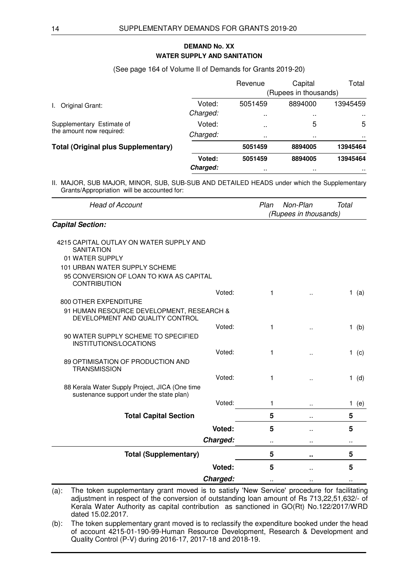# **WATER SUPPLY AND SANITATION DEMAND No. XX**

#### (See page 164 of Volume II of Demands for Grants 2019-20)

|                                            |          | Revenue              | Capital               | Total    |
|--------------------------------------------|----------|----------------------|-----------------------|----------|
|                                            |          |                      | (Rupees in thousands) |          |
| Original Grant:<br>L.                      | Voted:   | 5051459              | 8894000               | 13945459 |
|                                            | Charged: | $\sim$               | $\sim$ $\sim$         | $\sim$   |
| Supplementary Estimate of                  | Voted:   |                      | 5                     | 5        |
| the amount now required:                   | Charged: |                      | $\sim$                | . .      |
| <b>Total (Original plus Supplementary)</b> |          | 5051459              | 8894005               | 13945464 |
|                                            | Voted:   | 5051459              | 8894005               | 13945464 |
|                                            | Charged: | $\ddot{\phantom{1}}$ | $\sim$ $\sim$         |          |

II. MAJOR, SUB MAJOR, MINOR, SUB, SUB-SUB AND DETAILED HEADS under which the Supplementary Grants/Appropriation will be accounted for:

| Grants/Appropriation will be accounted for.                                                           |          |      |                       |           |  |
|-------------------------------------------------------------------------------------------------------|----------|------|-----------------------|-----------|--|
| <b>Head of Account</b>                                                                                |          | Plan | Non-Plan              | Total     |  |
|                                                                                                       |          |      | (Rupees in thousands) |           |  |
| <b>Capital Section:</b>                                                                               |          |      |                       |           |  |
| 4215 CAPITAL OUTLAY ON WATER SUPPLY AND                                                               |          |      |                       |           |  |
| <b>SANITATION</b>                                                                                     |          |      |                       |           |  |
| 01 WATER SUPPLY                                                                                       |          |      |                       |           |  |
| 101 URBAN WATER SUPPLY SCHEME                                                                         |          |      |                       |           |  |
| 95 CONVERSION OF LOAN TO KWA AS CAPITAL<br><b>CONTRIBUTION</b>                                        |          |      |                       |           |  |
|                                                                                                       | Voted:   | 1    | ä.                    | 1 $(a)$   |  |
| 800 OTHER EXPENDITURE                                                                                 |          |      |                       |           |  |
| 91 HUMAN RESOURCE DEVELOPMENT, RESEARCH &<br>DEVELOPMENT AND QUALITY CONTROL                          |          |      |                       |           |  |
|                                                                                                       | Voted:   | 1    | ä.                    | $1$ (b)   |  |
| 90 WATER SUPPLY SCHEME TO SPECIFIED<br>INSTITUTIONS/LOCATIONS                                         |          |      |                       |           |  |
|                                                                                                       | Voted:   | 1    | ä.                    | 1 (c)     |  |
| 89 OPTIMISATION OF PRODUCTION AND<br><b>TRANSMISSION</b>                                              |          |      |                       |           |  |
|                                                                                                       | Voted:   | 1    | Ω,                    | $1$ (d)   |  |
| 88 Kerala Water Supply Project, JICA (One time<br>sustenance support under the state plan)            |          |      |                       |           |  |
|                                                                                                       | Voted:   | 1    | .,                    | 1.<br>(e) |  |
| <b>Total Capital Section</b>                                                                          |          | 5    | ò.                    | 5         |  |
|                                                                                                       | Voted:   | 5    | ä.                    | 5         |  |
|                                                                                                       | Charged: |      |                       |           |  |
| <b>Total (Supplementary)</b>                                                                          |          | 5    | ٠.                    | 5         |  |
|                                                                                                       | Voted:   | 5    | ä.                    | 5         |  |
|                                                                                                       | Charged: |      |                       |           |  |
| The token supplementary grant moved is to satisfy 'New Service' procedure for facilitating<br>$(a)$ : |          |      |                       |           |  |

adjustment in respect of the conversion of outstanding loan amount of Rs 713,22,51,632/- of Kerala Water Authority as capital contribution as sanctioned in GO(Rt) No.122/2017/WRD dated 15.02.2017.

(b): The token supplementary grant moved is to reclassify the expenditure booked under the head of account 4215-01-190-99-Human Resource Development, Research & Development and Quality Control (P-V) during 2016-17, 2017-18 and 2018-19.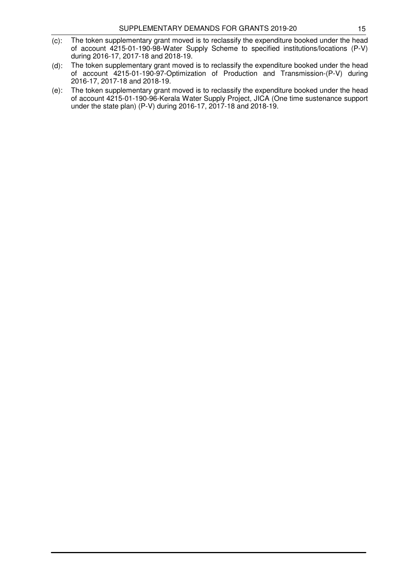- (c): The token supplementary grant moved is to reclassify the expenditure booked under the head of account 4215-01-190-98-Water Supply Scheme to specified institutions/locations (P-V) during 2016-17, 2017-18 and 2018-19.
- (d): The token supplementary grant moved is to reclassify the expenditure booked under the head of account 4215-01-190-97-Optimization of Production and Transmission-(P-V) during 2016-17, 2017-18 and 2018-19.
- (e): The token supplementary grant moved is to reclassify the expenditure booked under the head of account 4215-01-190-96-Kerala Water Supply Project, JICA (One time sustenance support under the state plan) (P-V) during 2016-17, 2017-18 and 2018-19.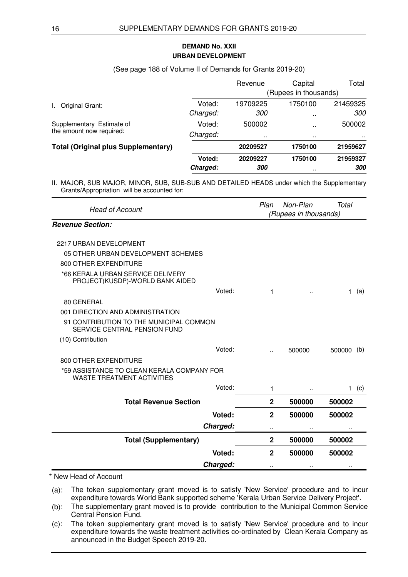# **URBAN DEVELOPMENT DEMAND No. XXII**

#### (See page 188 of Volume II of Demands for Grants 2019-20)

|                                            |          | Revenue           | Capital               | Total             |
|--------------------------------------------|----------|-------------------|-----------------------|-------------------|
|                                            |          |                   | (Rupees in thousands) |                   |
| Original Grant:                            | Voted:   | 19709225          | 1750100               | 21459325          |
|                                            | Charged: | <i>300</i>        | $\mathbf{r}$          | <i>300</i>        |
| Supplementary Estimate of                  | Voted:   | 500002            | $\sim$ $\sim$         | 500002            |
| the amount now required:                   | Charged: | $\sim$            | $\sim$ $\sim$         | . .               |
| <b>Total (Original plus Supplementary)</b> |          | 20209527          | 1750100               | 21959627          |
|                                            | Voted:   | 20209227          | 1750100               | 21959327          |
|                                            | Charged: | <i><b>300</b></i> | $\sim$                | <i><b>300</b></i> |

II. MAJOR, SUB MAJOR, MINOR, SUB, SUB-SUB AND DETAILED HEADS under which the Supplementary Grants/Appropriation will be accounted for:

| <b>Head of Account</b>                                                          | Plan<br>Non-Plan<br>Total<br>(Rupees in thousands) |                      |              |     |
|---------------------------------------------------------------------------------|----------------------------------------------------|----------------------|--------------|-----|
| <b>Revenue Section:</b>                                                         |                                                    |                      |              |     |
| 2217 URBAN DEVELOPMENT                                                          |                                                    |                      |              |     |
| 05 OTHER URBAN DEVELOPMENT SCHEMES                                              |                                                    |                      |              |     |
| 800 OTHER EXPENDITURE                                                           |                                                    |                      |              |     |
| *66 KERALA URBAN SERVICE DELIVERY<br>PROJECT(KUSDP)-WORLD BANK AIDED            |                                                    |                      |              |     |
| Voted:                                                                          | 1                                                  |                      | 1.           | (a) |
| 80 GENERAL                                                                      |                                                    |                      |              |     |
| 001 DIRECTION AND ADMINISTRATION                                                |                                                    |                      |              |     |
| 91 CONTRIBUTION TO THE MUNICIPAL COMMON<br>SERVICE CENTRAL PENSION FUND         |                                                    |                      |              |     |
| (10) Contribution                                                               |                                                    |                      |              |     |
| Voted:                                                                          | ٠.                                                 | 500000               | 500000       | (b) |
| 800 OTHER EXPENDITURE                                                           |                                                    |                      |              |     |
| *59 ASSISTANCE TO CLEAN KERALA COMPANY FOR<br><b>WASTE TREATMENT ACTIVITIES</b> |                                                    |                      |              |     |
| Voted:                                                                          | 1                                                  | $\ddot{\phantom{a}}$ | $\mathbf{1}$ | (c) |
| <b>Total Revenue Section</b>                                                    | $\mathbf{2}$                                       | 500000               | 500002       |     |
| Voted:                                                                          | $\overline{2}$                                     | 500000               | 500002       |     |
| Charged:                                                                        |                                                    | .,                   |              |     |
| <b>Total (Supplementary)</b>                                                    | $\mathbf{2}$                                       | 500000               | 500002       |     |
| Voted:                                                                          | $\mathbf{2}$                                       | 500000               | 500002       |     |
| Charged:                                                                        |                                                    |                      |              |     |

## \* New Head of Account

(a): The token supplementary grant moved is to satisfy 'New Service' procedure and to incur expenditure towards World Bank supported scheme 'Kerala Urban Service Delivery Project'.

(b): The supplementary grant moved is to provide contribution to the Municipal Common Service Central Pension Fund.

(c): The token supplementary grant moved is to satisfy 'New Service' procedure and to incur expenditure towards the waste treatment activities co-ordinated by Clean Kerala Company as announced in the Budget Speech 2019-20.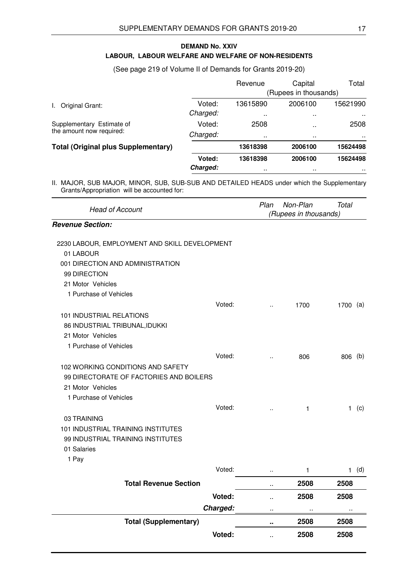# **LABOUR, LABOUR WELFARE AND WELFARE OF NON-RESIDENTS DEMAND No. XXIV**

# (See page 219 of Volume II of Demands for Grants 2019-20)

|                                            |          | Revenue   | Capital               | Total         |
|--------------------------------------------|----------|-----------|-----------------------|---------------|
|                                            |          |           | (Rupees in thousands) |               |
| Original Grant:                            | Voted:   | 13615890  | 2006100               | 15621990      |
|                                            | Charged: |           | $\sim$                | $\sim$ $\sim$ |
| Supplementary Estimate of                  | Voted:   | 2508      | .                     | 2508          |
| the amount now required:                   | Charged: |           | $\sim$                | . .           |
| <b>Total (Original plus Supplementary)</b> |          | 13618398  | 2006100               | 15624498      |
|                                            | Voted:   | 13618398  | 2006100               | 15624498      |
|                                            | Charged: | $\cdot$ . | $\sim$                |               |

| <b>Head of Account</b>                        |          | Plan                 | Non-Plan<br>(Rupees in thousands) | <b>Total</b>         |         |
|-----------------------------------------------|----------|----------------------|-----------------------------------|----------------------|---------|
| <b>Revenue Section:</b>                       |          |                      |                                   |                      |         |
| 2230 LABOUR, EMPLOYMENT AND SKILL DEVELOPMENT |          |                      |                                   |                      |         |
| 01 LABOUR                                     |          |                      |                                   |                      |         |
| 001 DIRECTION AND ADMINISTRATION              |          |                      |                                   |                      |         |
| 99 DIRECTION                                  |          |                      |                                   |                      |         |
| 21 Motor Vehicles                             |          |                      |                                   |                      |         |
| 1 Purchase of Vehicles                        |          |                      |                                   |                      |         |
|                                               | Voted:   | $\ddot{\phantom{a}}$ | 1700                              | 1700 (a)             |         |
| 101 INDUSTRIAL RELATIONS                      |          |                      |                                   |                      |         |
| 86 INDUSTRIAL TRIBUNAL, IDUKKI                |          |                      |                                   |                      |         |
| 21 Motor Vehicles                             |          |                      |                                   |                      |         |
| 1 Purchase of Vehicles                        |          |                      |                                   |                      |         |
|                                               | Voted:   | à.                   | 806                               | 806 (b)              |         |
| 102 WORKING CONDITIONS AND SAFETY             |          |                      |                                   |                      |         |
| 99 DIRECTORATE OF FACTORIES AND BOILERS       |          |                      |                                   |                      |         |
| 21 Motor Vehicles                             |          |                      |                                   |                      |         |
| 1 Purchase of Vehicles                        |          |                      |                                   |                      |         |
|                                               | Voted:   | $\ddot{\phantom{a}}$ | 1                                 |                      | $1$ (c) |
| 03 TRAINING                                   |          |                      |                                   |                      |         |
| 101 INDUSTRIAL TRAINING INSTITUTES            |          |                      |                                   |                      |         |
| 99 INDUSTRIAL TRAINING INSTITUTES             |          |                      |                                   |                      |         |
| 01 Salaries                                   |          |                      |                                   |                      |         |
| 1 Pay                                         |          |                      |                                   |                      |         |
|                                               | Voted:   |                      | 1                                 |                      | $1$ (d) |
| <b>Total Revenue Section</b>                  |          | ò.                   | 2508                              | 2508                 |         |
|                                               | Voted:   | ä.                   | 2508                              | 2508                 |         |
|                                               | Charged: | $\cdot$ .            | $\ddot{\phantom{1}}$              | $\ddot{\phantom{1}}$ |         |
| <b>Total (Supplementary)</b>                  |          | $\bullet$ .          | 2508                              | 2508                 |         |
|                                               | Voted:   | ò.                   | 2508                              | 2508                 |         |
|                                               |          |                      |                                   |                      |         |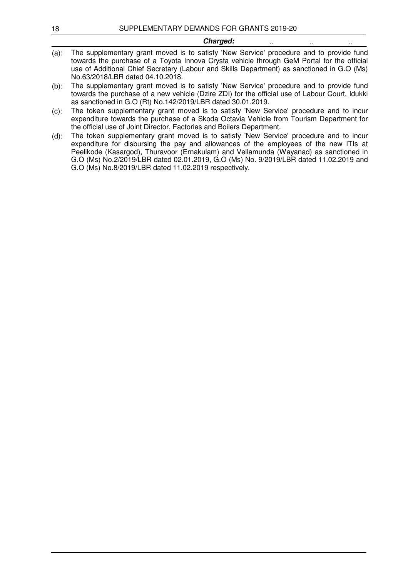Charged:

(b): The supplementary grant moved is to satisfy 'New Service' procedure and to provide fund towards the purchase of a new vehicle (Dzire ZDI) for the official use of Labour Court, Idukki as sanctioned in G.O (Rt) No.142/2019/LBR dated 30.01.2019.

(c): The token supplementary grant moved is to satisfy 'New Service' procedure and to incur expenditure towards the purchase of a Skoda Octavia Vehicle from Tourism Department for the official use of Joint Director, Factories and Boilers Department.

(d): The token supplementary grant moved is to satisfy 'New Service' procedure and to incur expenditure for disbursing the pay and allowances of the employees of the new ITIs at Peelikode (Kasargod), Thuravoor (Ernakulam) and Vellamunda (Wayanad) as sanctioned in G.O (Ms) No.2/2019/LBR dated 02.01.2019, G.O (Ms) No. 9/2019/LBR dated 11.02.2019 and G.O (Ms) No.8/2019/LBR dated 11.02.2019 respectively.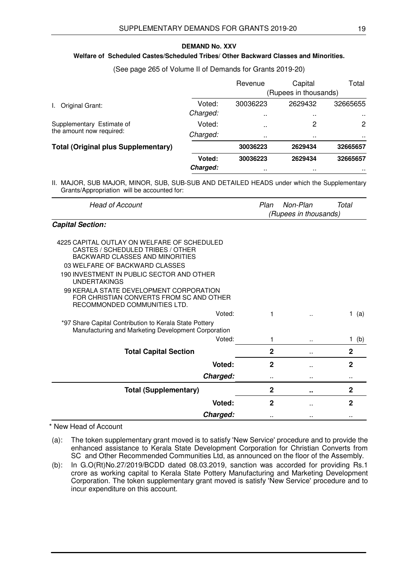#### **DEMAND No. XXV**

## **Welfare of Scheduled Castes/Scheduled Tribes/ Other Backward Classes and Minorities.**

#### (See page 265 of Volume II of Demands for Grants 2019-20)

|                                            |          | Revenue              | Capital<br>(Rupees in thousands) | Total         |
|--------------------------------------------|----------|----------------------|----------------------------------|---------------|
| Original Grant:                            | Voted:   | 30036223             | 2629432                          | 32665655      |
| L.                                         | Charged: | $\ddot{\phantom{0}}$ | $\sim$                           | $\sim$ $\sim$ |
| Supplementary Estimate of                  | Voted:   | $\ddot{\phantom{a}}$ | 2                                | 2             |
| the amount now required:                   | Charged: |                      | $\sim$                           | . .           |
| <b>Total (Original plus Supplementary)</b> |          | 30036223             | 2629434                          | 32665657      |
|                                            | Voted:   | 30036223             | 2629434                          | 32665657      |
|                                            | Charged: |                      | $\sim$                           | $\sim$ $\sim$ |

II. MAJOR, SUB MAJOR, MINOR, SUB, SUB-SUB AND DETAILED HEADS under which the Supplementary Grants/Appropriation will be accounted for:

| Head of Account         | Plan                  | Non-Plan | Total |  |
|-------------------------|-----------------------|----------|-------|--|
|                         | (Rupees in thousands) |          |       |  |
| <b>Capital Section:</b> |                       |          |       |  |

| 4225 CAPITAL OUTLAY ON WELFARE OF SCHEDULED<br>CASTES / SCHEDULED TRIBES / OTHER                                    |              |                      |              |
|---------------------------------------------------------------------------------------------------------------------|--------------|----------------------|--------------|
| BACKWARD CLASSES AND MINORITIES                                                                                     |              |                      |              |
| 03 WELFARE OF BACKWARD CLASSES                                                                                      |              |                      |              |
| 190 INVESTMENT IN PUBLIC SECTOR AND OTHER<br><b>UNDERTAKINGS</b>                                                    |              |                      |              |
| 99 KERALA STATE DEVELOPMENT CORPORATION<br>FOR CHRISTIAN CONVERTS FROM SC AND OTHER<br>RECOMMONDED COMMUNITIES LTD. |              |                      |              |
| Voted:                                                                                                              |              | $\ddot{\phantom{a}}$ | (a)          |
| *97 Share Capital Contribution to Kerala State Pottery<br>Manufacturing and Marketing Development Corporation       |              |                      |              |
| Voted:                                                                                                              | 1            |                      | 1.<br>(b)    |
| <b>Total Capital Section</b>                                                                                        | 2            | ٠.                   | $\mathbf 2$  |
| <b>Voted:</b>                                                                                                       | 2            |                      | $\mathbf{2}$ |
| Charged:                                                                                                            |              |                      |              |
| <b>Total (Supplementary)</b>                                                                                        | $\mathbf 2$  |                      | 2            |
| Voted:                                                                                                              | $\mathbf{2}$ |                      | $\mathbf{2}$ |
| Charged:                                                                                                            |              |                      |              |

\* New Head of Account

(a): The token supplementary grant moved is to satisfy 'New Service' procedure and to provide the enhanced assistance to Kerala State Development Corporation for Christian Converts from SC and Other Recommended Communities Ltd, as announced on the floor of the Assembly.

(b): In G.O(Rt)No.27/2019/BCDD dated 08.03.2019, sanction was accorded for providing Rs.1 crore as working capital to Kerala State Pottery Manufacturing and Marketing Development Corporation. The token supplementary grant moved is satisfy 'New Service' procedure and to incur expenditure on this account.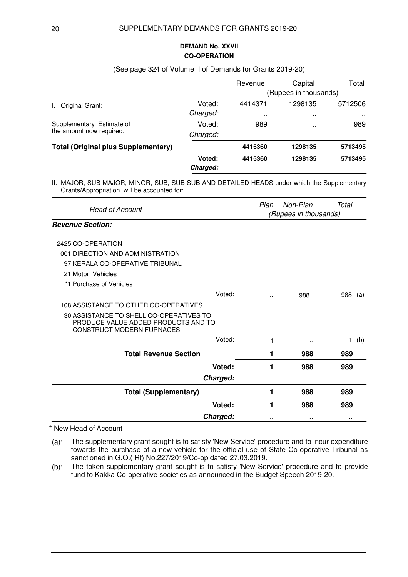# **CO-OPERATION DEMAND No. XXVII**

#### (See page 324 of Volume II of Demands for Grants 2019-20)

|                                            |          | Revenue               | Capital       | Total        |  |
|--------------------------------------------|----------|-----------------------|---------------|--------------|--|
|                                            |          | (Rupees in thousands) |               |              |  |
| Original Grant:                            | Voted:   | 4414371               | 1298135       | 5712506      |  |
|                                            | Charged: | $\ddot{\phantom{a}}$  | $\sim$ $\sim$ | $\mathbf{r}$ |  |
| Supplementary Estimate of                  | Voted:   | 989                   | $\sim$ $\sim$ | 989          |  |
| the amount now required:                   | Charged: | $\sim$                | $\sim$ $\sim$ | . .          |  |
| <b>Total (Original plus Supplementary)</b> |          | 4415360               | 1298135       | 5713495      |  |
|                                            | Voted:   | 4415360               | 1298135       | 5713495      |  |
|                                            | Charged: | $\cdots$              | $\sim$ $\sim$ | $\sim$       |  |

II. MAJOR, SUB MAJOR, MINOR, SUB, SUB-SUB AND DETAILED HEADS under which the Supplementary Grants/Appropriation will be accounted for:

| <b>Head of Account</b>                                                                                      |   | Plan<br>Non-Plan<br>Total<br>(Rupees in thousands) |                     |  |  |
|-------------------------------------------------------------------------------------------------------------|---|----------------------------------------------------|---------------------|--|--|
| <b>Revenue Section:</b>                                                                                     |   |                                                    |                     |  |  |
| 2425 CO-OPERATION                                                                                           |   |                                                    |                     |  |  |
| 001 DIRECTION AND ADMINISTRATION                                                                            |   |                                                    |                     |  |  |
| 97 KERALA CO-OPERATIVE TRIBUNAL                                                                             |   |                                                    |                     |  |  |
| 21 Motor Vehicles                                                                                           |   |                                                    |                     |  |  |
| *1 Purchase of Vehicles                                                                                     |   |                                                    |                     |  |  |
| Voted:                                                                                                      |   | 988                                                | 988<br>(a)          |  |  |
| 108 ASSISTANCE TO OTHER CO-OPERATIVES                                                                       |   |                                                    |                     |  |  |
| 30 ASSISTANCE TO SHELL CO-OPERATIVES TO<br>PRODUCE VALUE ADDED PRODUCTS AND TO<br>CONSTRUCT MODERN FURNACES |   |                                                    |                     |  |  |
| Voted:                                                                                                      | 1 | ٠.                                                 | $\mathbf{1}$<br>(b) |  |  |
| <b>Total Revenue Section</b>                                                                                | 1 | 988                                                | 989                 |  |  |
| Voted:                                                                                                      | 1 | 988                                                | 989                 |  |  |
| Charged:                                                                                                    |   |                                                    |                     |  |  |
| <b>Total (Supplementary)</b>                                                                                | 1 | 988                                                | 989                 |  |  |
| <b>Voted:</b>                                                                                               | 1 | 988                                                | 989                 |  |  |
| Charged:                                                                                                    |   |                                                    |                     |  |  |

\* New Head of Account

(a): The supplementary grant sought is to satisfy 'New Service' procedure and to incur expenditure towards the purchase of a new vehicle for the official use of State Co-operative Tribunal as sanctioned in G.O.( Rt) No.227/2019/Co-op dated 27.03.2019.

(b): The token supplementary grant sought is to satisfy 'New Service' procedure and to provide fund to Kakka Co-operative societies as announced in the Budget Speech 2019-20.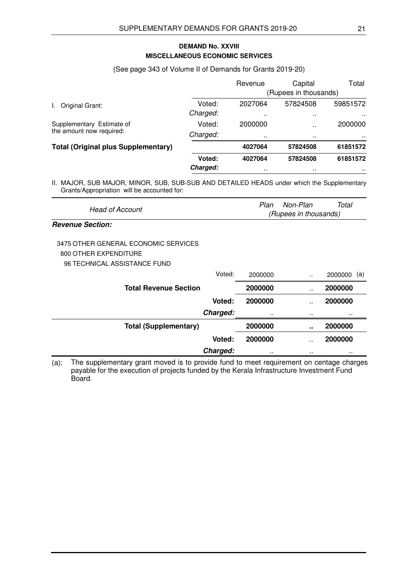# **MISCELLANEOUS ECONOMIC SERVICES DEMAND No. XXVIII**

#### (See page 343 of Volume II of Demands for Grants 2019-20)

|                                            |          | Revenue               | Capital              | Total         |
|--------------------------------------------|----------|-----------------------|----------------------|---------------|
|                                            |          | (Rupees in thousands) |                      |               |
| Original Grant:                            | Voted:   | 2027064               | 57824508             | 59851572      |
|                                            | Charged: |                       | $\sim$ $\sim$        | $\sim$ $\sim$ |
| Supplementary Estimate of                  | Voted:   | 2000000               | $\ddot{\phantom{a}}$ | 2000000       |
| the amount now required:                   | Charged: |                       | $\sim$ $\sim$        | . .           |
| <b>Total (Original plus Supplementary)</b> |          | 4027064               | 57824508             | 61851572      |
|                                            | Voted:   | 4027064               | 57824508             | 61851572      |
|                                            | Charged: | $\ddot{\phantom{1}}$  | $\sim$               | $\sim$ $\sim$ |

II. MAJOR, SUB MAJOR, MINOR, SUB, SUB-SUB AND DETAILED HEADS under which the Supplementary Grants/Appropriation will be accounted for:

| Head of Account                                                                                                |               | Plan    | Non-Plan<br>(Rupees in thousands) | Total          |
|----------------------------------------------------------------------------------------------------------------|---------------|---------|-----------------------------------|----------------|
| <b>Revenue Section:</b>                                                                                        |               |         |                                   |                |
| 3475 OTHER GENERAL ECONOMIC SERVICES                                                                           |               |         |                                   |                |
| 800 OTHER EXPENDITURE                                                                                          |               |         |                                   |                |
| 96 TECHNICAL ASSISTANCE FUND                                                                                   |               |         |                                   |                |
|                                                                                                                | Voted:        | 2000000 |                                   | 2000000<br>(a) |
| <b>Total Revenue Section</b>                                                                                   |               | 2000000 |                                   | 2000000        |
|                                                                                                                | <b>Voted:</b> | 2000000 |                                   | 2000000        |
|                                                                                                                | Charged:      |         |                                   |                |
| <b>Total (Supplementary)</b>                                                                                   |               | 2000000 |                                   | 2000000        |
|                                                                                                                | Voted:        | 2000000 |                                   | 2000000        |
|                                                                                                                | Charged:      |         |                                   |                |
| The quantementery graph mound in to provide fund to meet requirement on contage charges<br>$\left( -\right)$ . |               |         |                                   |                |

(a): The supplementary grant moved is to provide fund to meet requirement on centage charges payable for the execution of projects funded by the Kerala Infrastructure Investment Fund Board.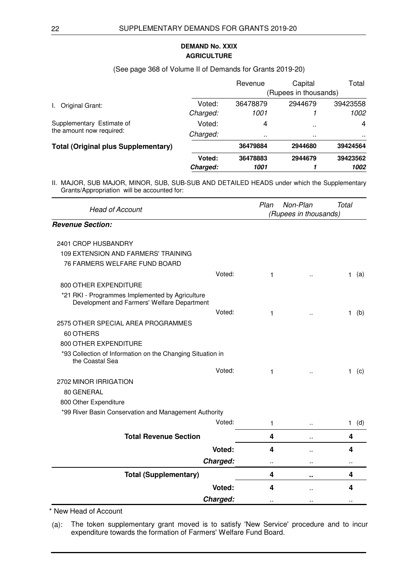# **AGRICULTURE DEMAND No. XXIX**

#### (See page 368 of Volume II of Demands for Grants 2019-20)

|                                            |          | Revenue  | Capital               | Total    |
|--------------------------------------------|----------|----------|-----------------------|----------|
|                                            |          |          | (Rupees in thousands) |          |
| Original Grant:                            | Voted:   | 36478879 | 2944679               | 39423558 |
|                                            | Charged: | 1001     |                       | 1002     |
| Supplementary Estimate of                  | Voted:   | 4        | $\sim$                | 4        |
| the amount now required:                   | Charged: |          | $\sim$ $\sim$         | . .      |
| <b>Total (Original plus Supplementary)</b> |          | 36479884 | 2944680               | 39424564 |
|                                            | Voted:   | 36478883 | 2944679               | 39423562 |
|                                            | Charged: | 1001     |                       | 1002     |

II. MAJOR, SUB MAJOR, MINOR, SUB, SUB-SUB AND DETAILED HEADS under which the Supplementary Grants/Appropriation will be accounted for:

| <b>Head of Account</b>                                                                         |          | Plan | Non-Plan<br>(Rupees in thousands) | Total               |
|------------------------------------------------------------------------------------------------|----------|------|-----------------------------------|---------------------|
| <b>Revenue Section:</b>                                                                        |          |      |                                   |                     |
| 2401 CROP HUSBANDRY                                                                            |          |      |                                   |                     |
| 109 EXTENSION AND FARMERS' TRAINING                                                            |          |      |                                   |                     |
| 76 FARMERS WELFARE FUND BOARD                                                                  |          |      |                                   |                     |
|                                                                                                | Voted:   | 1    |                                   | (a)<br>1.           |
| 800 OTHER EXPENDITURE                                                                          |          |      |                                   |                     |
| *21 RKI - Programmes Implemented by Agriculture<br>Development and Farmers' Welfare Department |          |      |                                   |                     |
|                                                                                                | Voted:   | 1    | $\ddot{\phantom{a}}$              | (b)<br>1.           |
| 2575 OTHER SPECIAL AREA PROGRAMMES                                                             |          |      |                                   |                     |
| 60 OTHERS                                                                                      |          |      |                                   |                     |
| 800 OTHER EXPENDITURE                                                                          |          |      |                                   |                     |
| *93 Collection of Information on the Changing Situation in<br>the Coastal Sea                  |          |      |                                   |                     |
|                                                                                                | Voted:   | 1    | $\ddot{\phantom{a}}$              | (c)<br>1.           |
| 2702 MINOR IRRIGATION                                                                          |          |      |                                   |                     |
| 80 GENERAL                                                                                     |          |      |                                   |                     |
| 800 Other Expenditure                                                                          |          |      |                                   |                     |
| *99 River Basin Conservation and Management Authority                                          |          |      |                                   |                     |
|                                                                                                | Voted:   | 1    | $\ddot{\phantom{a}}$              | (d)<br>$\mathbf{1}$ |
| <b>Total Revenue Section</b>                                                                   |          | 4    | ٠.                                | 4                   |
|                                                                                                | Voted:   | 4    | ä.                                | 4                   |
|                                                                                                | Charged: |      |                                   |                     |
| <b>Total (Supplementary)</b>                                                                   |          | 4    | ٠.                                | 4                   |
|                                                                                                | Voted:   | 4    |                                   | 4                   |
|                                                                                                | Charged: |      |                                   |                     |

\* New Head of Account

(a): The token supplementary grant moved is to satisfy 'New Service' procedure and to incur expenditure towards the formation of Farmers' Welfare Fund Board.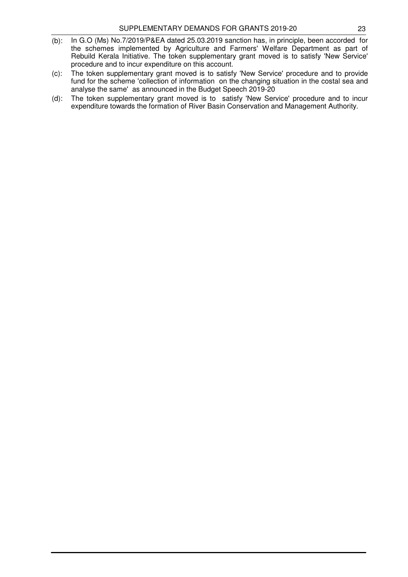- (b): In G.O (Ms) No.7/2019/P&EA dated 25.03.2019 sanction has, in principle, been accorded for the schemes implemented by Agriculture and Farmers' Welfare Department as part of Rebuild Kerala Initiative. The token supplementary grant moved is to satisfy 'New Service' procedure and to incur expenditure on this account.
- (c): The token supplementary grant moved is to satisfy 'New Service' procedure and to provide fund for the scheme 'collection of information on the changing situation in the costal sea and analyse the same' as announced in the Budget Speech 2019-20
- (d): The token supplementary grant moved is to satisfy 'New Service' procedure and to incur expenditure towards the formation of River Basin Conservation and Management Authority.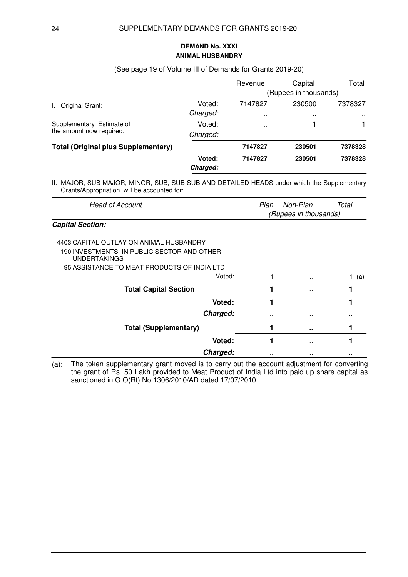# **ANIMAL HUSBANDRY DEMAND No. XXXI**

#### (See page 19 of Volume III of Demands for Grants 2019-20)

|                                            |          | Revenue              | Capital               | Total         |
|--------------------------------------------|----------|----------------------|-----------------------|---------------|
|                                            |          |                      | (Rupees in thousands) |               |
| Original Grant:                            | Voted:   | 7147827              | 230500                | 7378327       |
|                                            | Charged: | $\sim$               | $\sim$ $\sim$         | $\sim$ $\sim$ |
| Supplementary Estimate of                  | Voted:   | $\ddot{\phantom{0}}$ |                       |               |
| the amount now required:                   | Charged: |                      | . .                   | . .           |
| <b>Total (Original plus Supplementary)</b> |          | 7147827              | 230501                | 7378328       |
|                                            | Voted:   | 7147827              | 230501                | 7378328       |
|                                            | Charged: | $\sim$               | $\sim$                | . .           |

II. MAJOR, SUB MAJOR, MINOR, SUB, SUB-SUB AND DETAILED HEADS under which the Supplementary Grants/Appropriation will be accounted for:

| Head of Account         | Total<br>Plan<br>Non-Plan |  |
|-------------------------|---------------------------|--|
|                         | (Rupees in thousands)     |  |
| <b>Capital Section:</b> |                           |  |

| 4403 CAPITAL OUTLAY ON ANIMAL HUSBANDRY<br>190 INVESTMENTS IN PUBLIC SECTOR AND OTHER<br><b>UNDERTAKINGS</b><br>95 ASSISTANCE TO MEAT PRODUCTS OF INDIA LTD |               |     |
|-------------------------------------------------------------------------------------------------------------------------------------------------------------|---------------|-----|
| Voted:                                                                                                                                                      | $\cdot$ .     | (a) |
| <b>Total Capital Section</b>                                                                                                                                | $\sim$        |     |
| Voted:                                                                                                                                                      | $\sim$ $\sim$ |     |
| Charged:                                                                                                                                                    | <br>          |     |
| <b>Total (Supplementary)</b>                                                                                                                                |               |     |
| Voted:                                                                                                                                                      | $\sim$        |     |
| Charged:                                                                                                                                                    | <br>          |     |

(a): The token supplementary grant moved is to carry out the account adjustment for converting the grant of Rs. 50 Lakh provided to Meat Product of India Ltd into paid up share capital as sanctioned in G.O(Rt) No.1306/2010/AD dated 17/07/2010.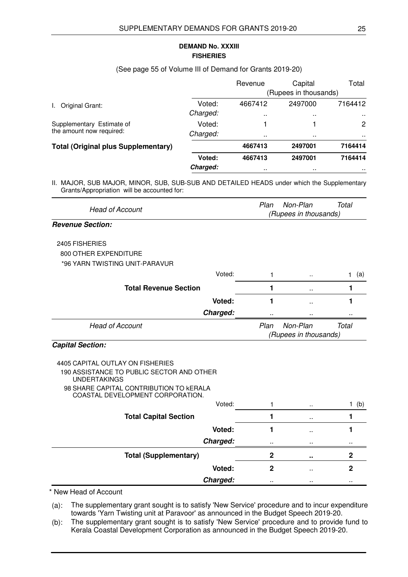### **FISHERIES DEMAND No. XXXIII**

#### (See page 55 of Volume III of Demand for Grants 2019-20)

|                                            |          | Revenue              | Capital               | Total                 |
|--------------------------------------------|----------|----------------------|-----------------------|-----------------------|
|                                            |          |                      | (Rupees in thousands) |                       |
| Original Grant:                            | Voted:   | 4667412              | 2497000               | 7164412               |
|                                            | Charged: | $\ddot{\phantom{1}}$ | $\sim$                | $\sim$                |
| Supplementary Estimate of                  | Voted:   |                      |                       | $\mathbf{2}^{\prime}$ |
| the amount now required:                   | Charged: | $\ddot{\phantom{1}}$ | $\sim$                | <b>A</b> 100          |
| <b>Total (Original plus Supplementary)</b> |          | 4667413              | 2497001               | 7164414               |
|                                            | Voted:   | 4667413              | 2497001               | 7164414               |
|                                            | Charged: | $\ddot{\phantom{1}}$ | $\sim$                | . .                   |

II. MAJOR, SUB MAJOR, MINOR, SUB, SUB-SUB AND DETAILED HEADS under which the Supplementary Grants/Appropriation will be accounted for:

| Plan        | Non-Plan             | <b>Total</b>                                   |
|-------------|----------------------|------------------------------------------------|
|             |                      |                                                |
|             |                      |                                                |
|             |                      |                                                |
|             |                      |                                                |
|             |                      |                                                |
| 1           | $\ddot{\phantom{a}}$ | (a)<br>$\mathbf{1}$                            |
| 1           | ٠.                   | 1                                              |
| 1           | $\ddot{\phantom{1}}$ | 1                                              |
|             | .,                   |                                                |
| Plan        | Non-Plan             | <b>Total</b>                                   |
|             |                      |                                                |
|             |                      |                                                |
|             |                      |                                                |
| 1           | $\ddot{\phantom{a}}$ | 1<br>(b)                                       |
| 1           | $\sim$               | 1                                              |
| 1           | ٠.                   | 1                                              |
| .,          | .,                   |                                                |
| $\mathbf 2$ | ٠.                   | $\mathbf 2$                                    |
| $\mathbf 2$ | Ω.                   | $\mathbf{2}$                                   |
|             |                      |                                                |
|             |                      | (Rupees in thousands)<br>(Rupees in thousands) |

\* New Head of Account

(a): The supplementary grant sought is to satisfy 'New Service' procedure and to incur expenditure towards 'Yarn Twisting unit at Paravoor' as announced in the Budget Speech 2019-20.

(b): The supplementary grant sought is to satisfy 'New Service' procedure and to provide fund to Kerala Coastal Development Corporation as announced in the Budget Speech 2019-20.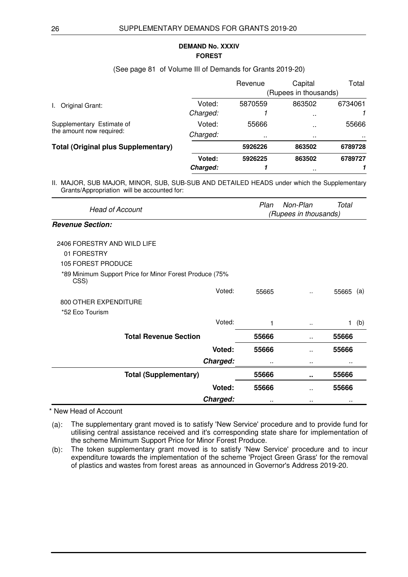#### **FOREST DEMAND No. XXXIV**

#### (See page 81 of Volume III of Demands for Grants 2019-20)

|                                            |          | Revenue | Capital               | Total   |
|--------------------------------------------|----------|---------|-----------------------|---------|
|                                            |          |         | (Rupees in thousands) |         |
| Original Grant:                            | Voted:   | 5870559 | 863502                | 6734061 |
|                                            | Charged: |         | $\sim$ $\sim$         |         |
| Supplementary Estimate of                  | Voted:   | 55666   | $\sim$                | 55666   |
| the amount now required:                   | Charged: |         | $\sim$ $\sim$         | . .     |
| <b>Total (Original plus Supplementary)</b> |          | 5926226 | 863502                | 6789728 |
|                                            | Voted:   | 5926225 | 863502                | 6789727 |
|                                            | Charged: |         | $\sim$ $\sim$         |         |

II. MAJOR, SUB MAJOR, MINOR, SUB, SUB-SUB AND DETAILED HEADS under which the Supplementary Grants/Appropriation will be accounted for:

| <b>Head of Account</b>                                          | Plan  | Non-Plan              | Total               |
|-----------------------------------------------------------------|-------|-----------------------|---------------------|
|                                                                 |       | (Rupees in thousands) |                     |
| <b>Revenue Section:</b>                                         |       |                       |                     |
| 2406 FORESTRY AND WILD LIFE                                     |       |                       |                     |
| 01 FORESTRY                                                     |       |                       |                     |
| 105 FOREST PRODUCE                                              |       |                       |                     |
| *89 Minimum Support Price for Minor Forest Produce (75%<br>CSS) |       |                       |                     |
| Voted:                                                          | 55665 | ٠.                    | 55665<br>(a)        |
| 800 OTHER EXPENDITURE                                           |       |                       |                     |
| *52 Eco Tourism                                                 |       |                       |                     |
| Voted:                                                          | 1     |                       | (b)<br>$\mathbf{1}$ |
| <b>Total Revenue Section</b>                                    | 55666 | $\sim$                | 55666               |
| Voted:                                                          | 55666 | ٠.                    | 55666               |
| Charged:                                                        |       |                       |                     |
| <b>Total (Supplementary)</b>                                    | 55666 |                       | 55666               |
| Voted:                                                          | 55666 | $\ddot{\phantom{a}}$  | 55666               |
| Charged:                                                        |       |                       |                     |

\* New Head of Account

(a): The supplementary grant moved is to satisfy 'New Service' procedure and to provide fund for utilising central assistance received and it's corresponding state share for implementation of the scheme Minimum Support Price for Minor Forest Produce.

(b): The token supplementary grant moved is to satisfy 'New Service' procedure and to incur expenditure towards the implementation of the scheme 'Project Green Grass' for the removal of plastics and wastes from forest areas as announced in Governor's Address 2019-20.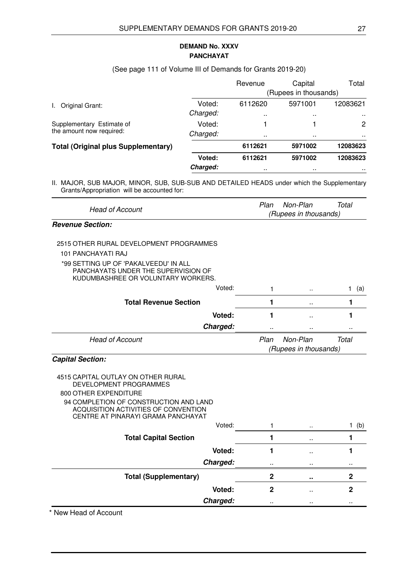# **PANCHAYAT DEMAND No. XXXV**

#### (See page 111 of Volume III of Demands for Grants 2019-20)

|                                            |          | Revenue   | Capital               | Total     |
|--------------------------------------------|----------|-----------|-----------------------|-----------|
|                                            |          |           | (Rupees in thousands) |           |
| Original Grant:<br>L.                      | Voted:   | 6112620   | 5971001               | 12083621  |
|                                            | Charged: | $\cdot$ . | $\sim$                | $\cdots$  |
| Supplementary Estimate of                  | Voted:   |           |                       | 2         |
| the amount now required:                   | Charged: | . .       | .                     | $\sim$    |
| <b>Total (Original plus Supplementary)</b> |          | 6112621   | 5971002               | 12083623  |
|                                            | Voted:   | 6112621   | 5971002               | 12083623  |
|                                            | Charged: |           | $\sim$                | $\cdot$ . |

II. MAJOR, SUB MAJOR, MINOR, SUB, SUB-SUB AND DETAILED HEADS under which the Supplementary Grants/Appropriation will be accounted for:

| <b>Head of Account</b>  | Total<br>Plan<br>Non-Plan |  |  |
|-------------------------|---------------------------|--|--|
|                         | (Rupees in thousands)     |  |  |
| <b>Revenue Section:</b> |                           |  |  |

## 2515 OTHER RURAL DEVELOPMENT PROGRAMMES

101 PANCHAYATI RAJ

#### \*99 SETTING UP OF 'PAKALVEEDU' IN ALL PANCHAYATS UNDER THE SUPERVISION OF KUDUMBASHREE OR VOLUNTARY WORKERS.

| Voted:                       |                       | $\ldots$ | (a)   |
|------------------------------|-----------------------|----------|-------|
| <b>Total Revenue Section</b> |                       | $\sim$   |       |
| Voted:                       |                       | $\sim$   |       |
| Charged:                     |                       |          |       |
| <b>Head of Account</b>       | Plan                  | Non-Plan | Total |
|                              | (Rupees in thousands) |          |       |

#### **Capital Section:**

4515 CAPITAL OUTLAY ON OTHER RURAL DEVELOPMENT PROGRAMMES 800 OTHER EXPENDITURE 94 COMPLETION OF CONSTRUCTION AND LAND ACQUISITION ACTIVITIES OF CONVENTION CENTRE AT PINARAYI GRAMA PANCHAYAT

| Voted:                       |           | $\cdots$            | (b)       |
|------------------------------|-----------|---------------------|-----------|
| <b>Total Capital Section</b> |           | $\sim$              |           |
| Voted:                       |           | $\sim$ $\sim$       |           |
| Charged:                     | $\cdot$ . | $\cdot$ .           | $\cdot$ . |
| <b>Total (Supplementary)</b> | 2         | $\bullet$ $\bullet$ |           |
| Voted:                       | 2         | $\sim$              |           |
| Charged:                     | $\cdot$ . | $\cdot$ .           | $\cdot$ . |

\* New Head of Account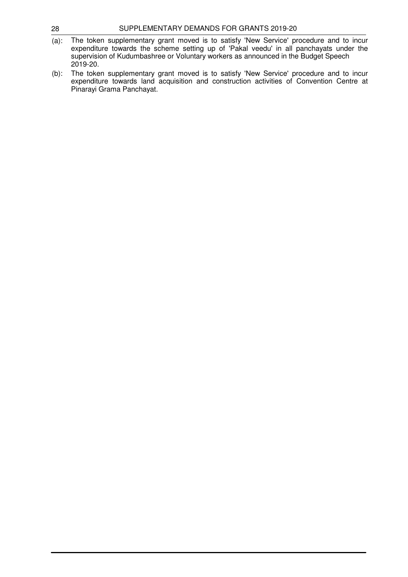| 28 | SUPPLEMENTARY DEMANDS FOR GRANTS 2019-20 |
|----|------------------------------------------|
|    |                                          |

- (a): The token supplementary grant moved is to satisfy 'New Service' procedure and to incur expenditure towards the scheme setting up of 'Pakal veedu' in all panchayats under the supervision of Kudumbashree or Voluntary workers as announced in the Budget Speech 2019-20.
- (b): The token supplementary grant moved is to satisfy 'New Service' procedure and to incur expenditure towards land acquisition and construction activities of Convention Centre at Pinarayi Grama Panchayat.
-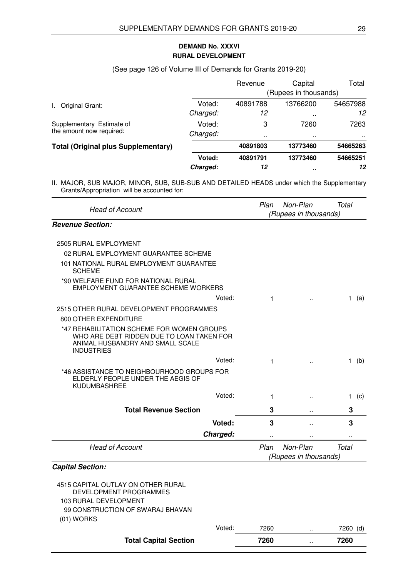# **RURAL DEVELOPMENT DEMAND No. XXXVI**

# (See page 126 of Volume III of Demands for Grants 2019-20)

|                                            |          | Revenue               | Capital       | Total    |  |
|--------------------------------------------|----------|-----------------------|---------------|----------|--|
|                                            |          | (Rupees in thousands) |               |          |  |
| Original Grant:                            | Voted:   | 40891788              | 13766200      | 54657988 |  |
|                                            | Charged: | 12                    | $\sim$ $\sim$ | 12       |  |
| Supplementary Estimate of                  | Voted:   | 3                     | 7260          | 7263     |  |
| the amount now required:                   | Charged: |                       | $\sim$        | . .      |  |
| <b>Total (Original plus Supplementary)</b> |          | 40891803              | 13773460      | 54665263 |  |
|                                            | Voted:   | 40891791              | 13773460      | 54665251 |  |
|                                            | Charged: | 12                    | $\sim$        | 12       |  |

| <b>Head of Account</b>                                                                                                                           | Plan                  | Non-Plan              | <b>Total</b> |
|--------------------------------------------------------------------------------------------------------------------------------------------------|-----------------------|-----------------------|--------------|
|                                                                                                                                                  |                       | (Rupees in thousands) |              |
| <b>Revenue Section:</b>                                                                                                                          |                       |                       |              |
| 2505 RURAL EMPLOYMENT                                                                                                                            |                       |                       |              |
| 02 RURAL EMPLOYMENT GUARANTEE SCHEME                                                                                                             |                       |                       |              |
| 101 NATIONAL RURAL EMPLOYMENT GUARANTEE<br><b>SCHEME</b>                                                                                         |                       |                       |              |
| *90 WELFARE FUND FOR NATIONAL RURAL<br>EMPLOYMENT GUARANTEE SCHEME WORKERS                                                                       |                       |                       |              |
| Voted:                                                                                                                                           | 1                     |                       | 1 (a)        |
| 2515 OTHER RURAL DEVELOPMENT PROGRAMMES                                                                                                          |                       |                       |              |
| 800 OTHER EXPENDITURE                                                                                                                            |                       |                       |              |
| *47 REHABILITATION SCHEME FOR WOMEN GROUPS<br>WHO ARE DEBT RIDDEN DUE TO LOAN TAKEN FOR<br>ANIMAL HUSBANDRY AND SMALL SCALE<br><b>INDUSTRIES</b> |                       |                       |              |
| Voted:                                                                                                                                           | 1                     | $\ddot{\phantom{a}}$  | (b)<br>1.    |
| *46 ASSISTANCE TO NEIGHBOURHOOD GROUPS FOR<br>ELDERLY PEOPLE UNDER THE AEGIS OF<br><b>KUDUMBASHREE</b>                                           |                       |                       |              |
| Voted:                                                                                                                                           | 1                     | ä.                    | (c)<br>1.    |
| <b>Total Revenue Section</b>                                                                                                                     | 3                     | $\ddot{\phantom{a}}$  | 3            |
| Voted:                                                                                                                                           | 3                     | ä.                    | 3            |
| Charged:                                                                                                                                         |                       |                       |              |
| <b>Head of Account</b>                                                                                                                           | Plan                  | Non-Plan              | <b>Total</b> |
|                                                                                                                                                  | (Rupees in thousands) |                       |              |
| <b>Capital Section:</b>                                                                                                                          |                       |                       |              |
| 4515 CAPITAL OUTLAY ON OTHER RURAL<br>DEVELOPMENT PROGRAMMES<br><b>103 RURAL DEVELOPMENT</b><br>99 CONSTRUCTION OF SWARAJ BHAVAN<br>$(01)$ WORKS |                       |                       |              |
| Voted:                                                                                                                                           | 7260                  | ä.                    | 7260 (d)     |
| <b>Total Capital Section</b>                                                                                                                     | 7260                  | ò.                    | 7260         |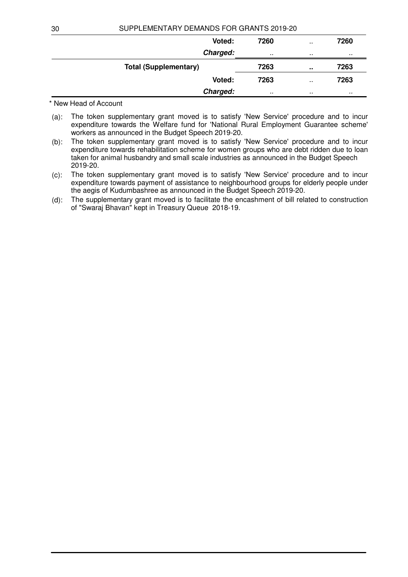| 7260 | $\sim$        | 7260 |
|------|---------------|------|
|      | $\cdot$ .     |      |
| 7263 | ٠.            | 7263 |
| 7263 | $\sim$ $\sim$ | 7263 |
|      | $\cdot$ .     |      |
|      |               |      |

\* New Head of Account

- (a): The token supplementary grant moved is to satisfy 'New Service' procedure and to incur expenditure towards the Welfare fund for 'National Rural Employment Guarantee scheme' workers as announced in the Budget Speech 2019-20.
- (b): The token supplementary grant moved is to satisfy 'New Service' procedure and to incur expenditure towards rehabilitation scheme for women groups who are debt ridden due to loan taken for animal husbandry and small scale industries as announced in the Budget Speech 2019-20.
- (c): The token supplementary grant moved is to satisfy 'New Service' procedure and to incur expenditure towards payment of assistance to neighbourhood groups for elderly people under the aegis of Kudumbashree as announced in the Budget Speech 2019-20.
- (d): The supplementary grant moved is to facilitate the encashment of bill related to construction of "Swaraj Bhavan" kept in Treasury Queue 2018-19.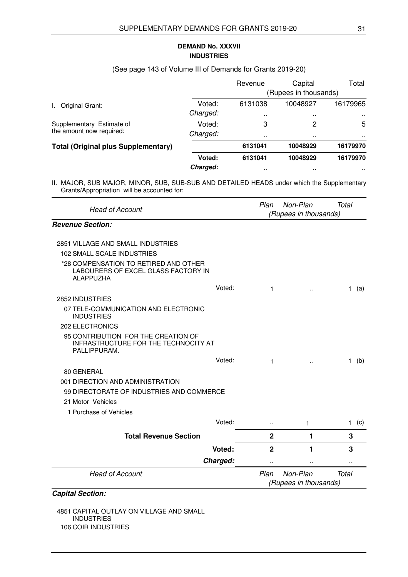## **INDUSTRIES DEMAND No. XXXVII**

#### (See page 143 of Volume III of Demands for Grants 2019-20)

|                                            |          | Revenue               | Capital       | Total        |  |
|--------------------------------------------|----------|-----------------------|---------------|--------------|--|
|                                            |          | (Rupees in thousands) |               |              |  |
| Original Grant:                            | Voted:   | 6131038               | 10048927      | 16179965     |  |
|                                            | Charged: | . .                   | $\sim$ $\sim$ | $\mathbf{r}$ |  |
| Supplementary Estimate of                  | Voted:   | 3                     | 2             | 5            |  |
| the amount now required:                   | Charged: |                       | $\sim$ $\sim$ | <b>A</b> 100 |  |
| <b>Total (Original plus Supplementary)</b> |          | 6131041               | 10048929      | 16179970     |  |
|                                            | Voted:   | 6131041               | 10048929      | 16179970     |  |
|                                            | Charged: |                       | $\sim$ $\sim$ |              |  |

II. MAJOR, SUB MAJOR, MINOR, SUB, SUB-SUB AND DETAILED HEADS under which the Supplementary Grants/Appropriation will be accounted for:

| <b>Head of Account</b>                                                                           |          | Plan                  | Non-Plan<br>(Rupees in thousands) | Total               |
|--------------------------------------------------------------------------------------------------|----------|-----------------------|-----------------------------------|---------------------|
| <b>Revenue Section:</b>                                                                          |          |                       |                                   |                     |
| 2851 VILLAGE AND SMALL INDUSTRIES                                                                |          |                       |                                   |                     |
|                                                                                                  |          |                       |                                   |                     |
| 102 SMALL SCALE INDUSTRIES                                                                       |          |                       |                                   |                     |
| *28 COMPENSATION TO RETIRED AND OTHER<br>LABOURERS OF EXCEL GLASS FACTORY IN<br><b>ALAPPUZHA</b> |          |                       |                                   |                     |
|                                                                                                  | Voted:   | 1                     | ٠.                                | (a)<br>1.           |
| 2852 INDUSTRIES                                                                                  |          |                       |                                   |                     |
| 07 TELE-COMMUNICATION AND ELECTRONIC<br><b>INDUSTRIES</b>                                        |          |                       |                                   |                     |
| <b>202 ELECTRONICS</b>                                                                           |          |                       |                                   |                     |
| 95 CONTRIBUTION FOR THE CREATION OF<br>INFRASTRUCTURE FOR THE TECHNOCITY AT<br>PALLIPPURAM.      |          |                       |                                   |                     |
|                                                                                                  | Voted:   | 1                     |                                   | (b)<br>1.           |
| 80 GENERAL                                                                                       |          |                       |                                   |                     |
| 001 DIRECTION AND ADMINISTRATION                                                                 |          |                       |                                   |                     |
| 99 DIRECTORATE OF INDUSTRIES AND COMMERCE                                                        |          |                       |                                   |                     |
| 21 Motor Vehicles                                                                                |          |                       |                                   |                     |
| 1 Purchase of Vehicles                                                                           |          |                       |                                   |                     |
|                                                                                                  | Voted:   | $\ddot{\phantom{a}}$  | 1                                 | (c)<br>$\mathbf{1}$ |
| <b>Total Revenue Section</b>                                                                     |          | $\mathbf{2}$          | 1                                 | 3                   |
|                                                                                                  | Voted:   | $\mathbf{2}$          | 1                                 | 3                   |
|                                                                                                  | Charged: | ٠.                    |                                   |                     |
| <b>Head of Account</b>                                                                           |          | Plan                  | Non-Plan                          | <b>Total</b>        |
|                                                                                                  |          | (Rupees in thousands) |                                   |                     |

# **Capital Section:**

4851 CAPITAL OUTLAY ON VILLAGE AND SMALL INDUSTRIES 106 COIR INDUSTRIES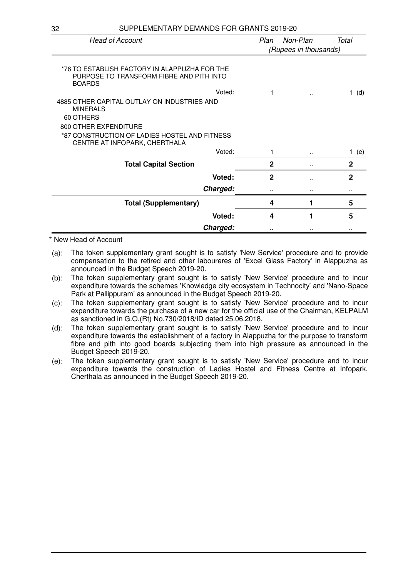| <b>Head of Account</b>                                                                                     | Plan                  | Non-Plan             | Total        |
|------------------------------------------------------------------------------------------------------------|-----------------------|----------------------|--------------|
|                                                                                                            | (Rupees in thousands) |                      |              |
| *76 TO ESTABLISH FACTORY IN ALAPPUZHA FOR THE<br>PURPOSE TO TRANSFORM FIBRE AND PITH INTO<br><b>BOARDS</b> |                       |                      |              |
| Voted:                                                                                                     | 1                     | $\ddot{\phantom{a}}$ | (d)<br>1.    |
| 4885 OTHER CAPITAL OUTLAY ON INDUSTRIES AND<br><b>MINERALS</b><br>60 OTHERS<br>800 OTHER EXPENDITURE       |                       |                      |              |
| *87 CONSTRUCTION OF LADIES HOSTEL AND FITNESS<br>CENTRE AT INFOPARK, CHERTHALA                             |                       |                      |              |
| Voted:                                                                                                     | 1                     |                      | 1.<br>(e)    |
| <b>Total Capital Section</b>                                                                               | $\mathbf{2}$          |                      | $\mathbf{2}$ |
| Voted:                                                                                                     | $\mathbf{2}$          |                      | $\mathbf{2}$ |
| Charged:                                                                                                   |                       |                      |              |
| <b>Total (Supplementary)</b>                                                                               | 4                     | 1                    | 5            |
| Voted:                                                                                                     | 4                     | 1                    | 5            |
| Charged:                                                                                                   |                       |                      |              |

\* New Head of Account

- (a): The token supplementary grant sought is to satisfy 'New Service' procedure and to provide compensation to the retired and other laboureres of 'Excel Glass Factory' in Alappuzha as announced in the Budget Speech 2019-20.
- (b): The token supplementary grant sought is to satisfy 'New Service' procedure and to incur expenditure towards the schemes 'Knowledge city ecosystem in Technocity' and 'Nano-Space Park at Pallippuram' as announced in the Budget Speech 2019-20.
- (c): The token supplementary grant sought is to satisfy 'New Service' procedure and to incur expenditure towards the purchase of a new car for the official use of the Chairman, KELPALM as sanctioned in G.O.(Rt) No.730/2018/ID dated 25.06.2018.
- (d): The token supplementary grant sought is to satisfy 'New Service' procedure and to incur expenditure towards the establishment of a factory in Alappuzha for the purpose to transform fibre and pith into good boards subjecting them into high pressure as announced in the Budget Speech 2019-20.
- (e): The token supplementary grant sought is to satisfy 'New Service' procedure and to incur expenditure towards the construction of Ladies Hostel and Fitness Centre at Infopark, Cherthala as announced in the Budget Speech 2019-20.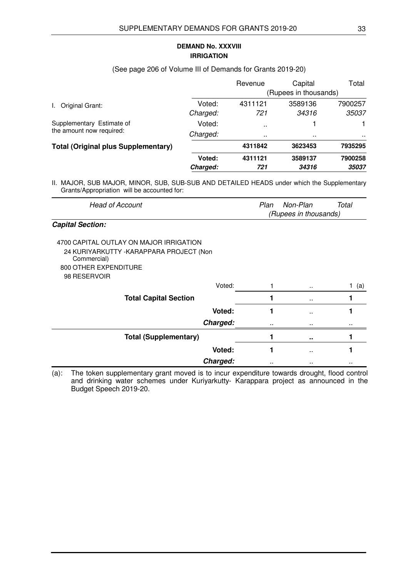## **IRRIGATION DEMAND No. XXXVIII**

#### (See page 206 of Volume III of Demands for Grants 2019-20)

|                                            |          | Revenue               | Capital       | Total   |  |
|--------------------------------------------|----------|-----------------------|---------------|---------|--|
|                                            |          | (Rupees in thousands) |               |         |  |
| Original Grant:                            | Voted:   | 4311121               | 3589136       | 7900257 |  |
|                                            | Charged: | 721                   | 34316         | 35037   |  |
| Supplementary Estimate of                  | Voted:   | $\ddot{\phantom{0}}$  |               |         |  |
| the amount now required:                   | Charged: | $\sim$                | $\sim$ $\sim$ | . .     |  |
| <b>Total (Original plus Supplementary)</b> |          | 4311842               | 3623453       | 7935295 |  |
|                                            | Voted:   | 4311121               | 3589137       | 7900258 |  |
|                                            | Charged: | 721                   | 34316         | 35037   |  |

II. MAJOR, SUB MAJOR, MINOR, SUB, SUB-SUB AND DETAILED HEADS under which the Supplementary Grants/Appropriation will be accounted for:

| Head of Account         | Plan<br>Non-Plan<br>Total |
|-------------------------|---------------------------|
|                         | (Rupees in thousands)     |
| <b>Capital Section:</b> |                           |

| 4700 CAPITAL OUTLAY ON MAJOR IRRIGATION<br>24 KURIYARKUTTY - KARAPPARA PROJECT (Non<br>Commercial)<br>800 OTHER EXPENDITURE<br>98 RESERVOIR |                      |     |
|---------------------------------------------------------------------------------------------------------------------------------------------|----------------------|-----|
| Voted:                                                                                                                                      | $\cdot$ .            | (a) |
| <b>Total Capital Section</b>                                                                                                                | $\sim$               |     |
| Voted:                                                                                                                                      | $\sim$ $\sim$        |     |
| Charged:                                                                                                                                    | <br>                 |     |
| <b>Total (Supplementary)</b>                                                                                                                |                      |     |
| Voted:                                                                                                                                      | $\ddot{\phantom{0}}$ |     |
| Charged:                                                                                                                                    | <br>                 |     |

(a): The token supplementary grant moved is to incur expenditure towards drought, flood control and drinking water schemes under Kuriyarkutty- Karappara project as announced in the Budget Speech 2019-20.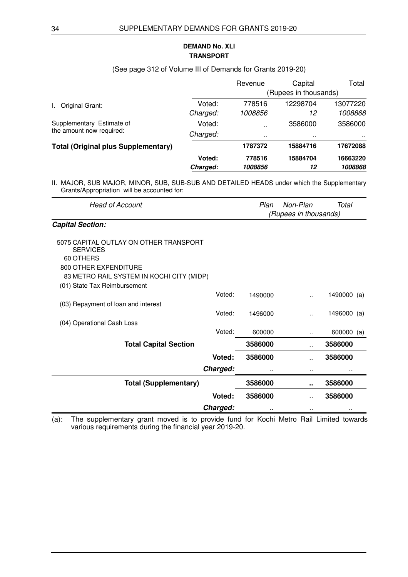# **TRANSPORT DEMAND No. XLI**

# (See page 312 of Volume III of Demands for Grants 2019-20)

|                                                       |          | Revenue               | Capital  | Total    |  |
|-------------------------------------------------------|----------|-----------------------|----------|----------|--|
|                                                       |          | (Rupees in thousands) |          |          |  |
| Original Grant:<br>L.                                 | Voted:   | 778516                | 12298704 | 13077220 |  |
|                                                       | Charged: | 1008856               | 12       | 1008868  |  |
| Supplementary Estimate of<br>the amount now required: | Voted:   | $\ddot{\phantom{a}}$  | 3586000  | 3586000  |  |
|                                                       | Charged: | $\cdots$              | $\sim$   |          |  |
| <b>Total (Original plus Supplementary)</b>            |          | 1787372               | 15884716 | 17672088 |  |
|                                                       | Voted:   | 778516                | 15884704 | 16663220 |  |
|                                                       | Charged: | 1008856               | 12       | 1008868  |  |

| <b>Head of Account</b>                                                                                                                                      |          | Plan    | Non-Plan<br>(Rupees in thousands) | Total       |  |
|-------------------------------------------------------------------------------------------------------------------------------------------------------------|----------|---------|-----------------------------------|-------------|--|
| <b>Capital Section:</b>                                                                                                                                     |          |         |                                   |             |  |
| 5075 CAPITAL OUTLAY ON OTHER TRANSPORT<br><b>SERVICES</b><br>60 OTHERS                                                                                      |          |         |                                   |             |  |
| 800 OTHER EXPENDITURE                                                                                                                                       |          |         |                                   |             |  |
| 83 METRO RAIL SYSTEM IN KOCHI CITY (MIDP)                                                                                                                   |          |         |                                   |             |  |
| (01) State Tax Reimbursement                                                                                                                                |          |         |                                   |             |  |
|                                                                                                                                                             | Voted:   | 1490000 | $\ddot{\phantom{a}}$              | 1490000 (a) |  |
| (03) Repayment of loan and interest                                                                                                                         |          |         |                                   |             |  |
|                                                                                                                                                             | Voted:   | 1496000 |                                   | 1496000 (a) |  |
| (04) Operational Cash Loss                                                                                                                                  |          |         |                                   |             |  |
|                                                                                                                                                             | Voted:   | 600000  |                                   | 600000 (a)  |  |
| <b>Total Capital Section</b>                                                                                                                                |          | 3586000 |                                   | 3586000     |  |
|                                                                                                                                                             | Voted:   | 3586000 |                                   | 3586000     |  |
|                                                                                                                                                             | Charged: |         |                                   |             |  |
| <b>Total (Supplementary)</b>                                                                                                                                |          | 3586000 |                                   | 3586000     |  |
|                                                                                                                                                             | Voted:   | 3586000 |                                   | 3586000     |  |
|                                                                                                                                                             | Charged: |         |                                   |             |  |
| The supplementary grant moved is to provide fund for Kochi Metro Rail Limited towards<br>$(a)$ :<br>various requirements during the financial year 2019-20. |          |         |                                   |             |  |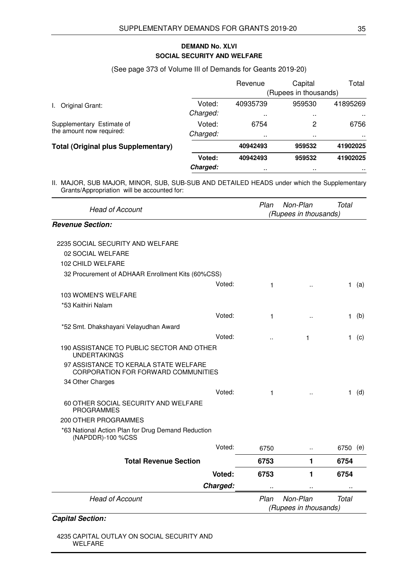# **SOCIAL SECURITY AND WELFARE DEMAND No. XLVI**

#### (See page 373 of Volume III of Demands for Geants 2019-20)

|                                            |          | Revenue               | Capital       | Total         |  |
|--------------------------------------------|----------|-----------------------|---------------|---------------|--|
|                                            |          | (Rupees in thousands) |               |               |  |
| Original Grant:                            | Voted:   | 40935739              | 959530        | 41895269      |  |
|                                            | Charged: | $\sim$                | <b>A</b> 100  | $\sim$ $\sim$ |  |
| Supplementary Estimate of                  | Voted:   | 6754                  | 2             | 6756          |  |
| the amount now required:                   | Charged: | $\sim$                | $\sim$ $\sim$ | . .           |  |
| <b>Total (Original plus Supplementary)</b> |          | 40942493              | 959532        | 41902025      |  |
|                                            | Voted:   | 40942493              | 959532        | 41902025      |  |
|                                            | Charged: | . .                   | $\sim$ $\sim$ | $\sim$        |  |

II. MAJOR, SUB MAJOR, MINOR, SUB, SUB-SUB AND DETAILED HEADS under which the Supplementary Grants/Appropriation will be accounted for:

| <b>Head of Account</b>                                                       |        | Plan                  | Non-Plan              | Total        |     |
|------------------------------------------------------------------------------|--------|-----------------------|-----------------------|--------------|-----|
|                                                                              |        | (Rupees in thousands) |                       |              |     |
| <b>Revenue Section:</b>                                                      |        |                       |                       |              |     |
| 2235 SOCIAL SECURITY AND WELFARE                                             |        |                       |                       |              |     |
| 02 SOCIAL WELFARE                                                            |        |                       |                       |              |     |
| 102 CHILD WELFARE                                                            |        |                       |                       |              |     |
| 32 Procurement of ADHAAR Enrollment Kits (60%CSS)                            |        |                       |                       |              |     |
|                                                                              | Voted: | 1                     | $\ddot{\phantom{a}}$  | 1.           | (a) |
| 103 WOMEN'S WELFARE                                                          |        |                       |                       |              |     |
| *53 Kaithiri Nalam                                                           |        |                       |                       |              |     |
|                                                                              | Voted: | 1                     | $\ddot{\phantom{a}}$  | $\mathbf{1}$ | (b) |
| *52 Smt. Dhakshayani Velayudhan Award                                        |        |                       |                       |              |     |
|                                                                              | Voted: |                       | 1                     | 1.           | (c) |
| 190 ASSISTANCE TO PUBLIC SECTOR AND OTHER<br><b>UNDERTAKINGS</b>             |        |                       |                       |              |     |
| 97 ASSISTANCE TO KERALA STATE WELFARE<br>CORPORATION FOR FORWARD COMMUNITIES |        |                       |                       |              |     |
| 34 Other Charges                                                             |        |                       |                       |              |     |
|                                                                              | Voted: | 1                     | $\ddot{\phantom{a}}$  | 1.           | (d) |
| 60 OTHER SOCIAL SECURITY AND WELFARE<br><b>PROGRAMMES</b>                    |        |                       |                       |              |     |
| 200 OTHER PROGRAMMES                                                         |        |                       |                       |              |     |
| *63 National Action Plan for Drug Demand Reduction<br>(NAPDDR)-100 %CSS      |        |                       |                       |              |     |
|                                                                              | Voted: | 6750                  | Ω.                    | 6750 (e)     |     |
| <b>Total Revenue Section</b>                                                 |        | 6753                  | 1                     | 6754         |     |
|                                                                              | Voted: | 6753                  | 1                     | 6754         |     |
| Charged:                                                                     |        |                       |                       |              |     |
| <b>Head of Account</b>                                                       |        | Plan                  | Non-Plan              | <b>Total</b> |     |
|                                                                              |        |                       | (Rupees in thousands) |              |     |

# **Capital Section:**

4235 CAPITAL OUTLAY ON SOCIAL SECURITY AND WELFARE